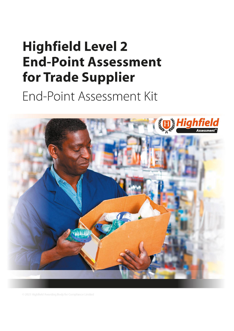# <span id="page-0-1"></span><span id="page-0-0"></span>**Highfield Level 2 End-Point Assessment** for Trade Supplier

End-Point Assessment Kit



© 2021 Highfield Awarding Body for Compliance Limited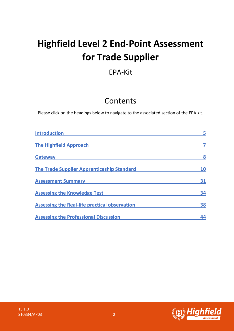## **Highfield Level 2 End-Point Assessment for Trade Supplier**

## EPA-Kit

## Contents

Please click on the headings below to navigate to the associated section of the EPA kit.

| <b>Introduction</b>                               | 5  |
|---------------------------------------------------|----|
| <b>The Highfield Approach</b>                     |    |
| <b>Gateway</b>                                    | 8  |
| <b>The Trade Supplier Apprenticeship Standard</b> | 10 |
| <b>Assessment Summary</b>                         | 31 |
| <b>Assessing the Knowledge Test</b>               | 34 |
| Assessing the Real-life practical observation     | 38 |
| <b>Assessing the Professional Discussion</b>      |    |

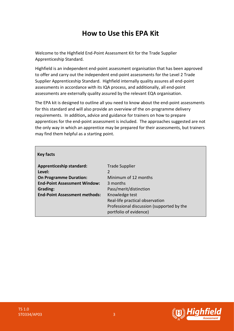## **How to Use this EPA Kit**

Welcome to the Highfield End-Point Assessment Kit for the Trade Supplier Apprenticeship Standard.

Highfield is an independent end-point assessment organisation that has been approved to offer and carry out the independent end-point assessments for the Level 2 Trade Supplier Apprenticeship Standard. Highfield internally quality assures all end-point assessments in accordance with its IQA process, and additionally, all end-point assessments are externally quality assured by the relevant EQA organisation.

The EPA kit is designed to outline all you need to know about the end-point assessments for this standard and will also provide an overview of the on-programme delivery requirements. In addition**,** advice and guidance for trainers on how to prepare apprentices for the end-point assessment is included. The approaches suggested are not the only way in which an apprentice may be prepared for their assessments, but trainers may find them helpful as a starting point.

| <b>Key facts</b>                     |                                           |
|--------------------------------------|-------------------------------------------|
| <b>Apprenticeship standard:</b>      | <b>Trade Supplier</b>                     |
| Level:                               | 2                                         |
| <b>On Programme Duration:</b>        | Minimum of 12 months                      |
| <b>End-Point Assessment Window:</b>  | 3 months                                  |
| Grading:                             | Pass/merit/distinction                    |
| <b>End-Point Assessment methods:</b> | Knowledge test                            |
|                                      | Real-life practical observation           |
|                                      | Professional discussion (supported by the |
|                                      | portfolio of evidence)                    |

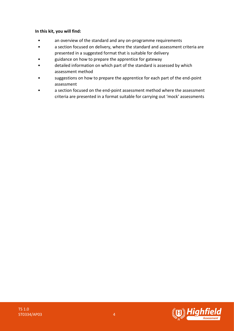#### **In this kit, you will find:**

- an overview of the standard and any on-programme requirements
- a section focused on delivery, where the standard and assessment criteria are presented in a suggested format that is suitable for delivery
- guidance on how to prepare the apprentice for gateway
- detailed information on which part of the standard is assessed by which assessment method
- suggestions on how to prepare the apprentice for each part of the end-point assessment
- a section focused on the end-point assessment method where the assessment criteria are presented in a format suitable for carrying out 'mock' assessments

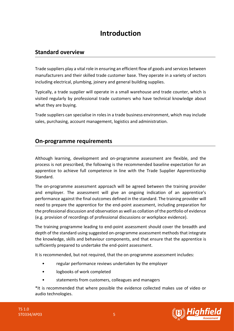## **Introduction**

#### <span id="page-4-0"></span>**Standard overview**

Trade suppliers play a vital role in ensuring an efficient flow of goods and services between manufacturers and their skilled trade customer base. They operate in a variety of sectors including electrical, plumbing, joinery and general building supplies.

Typically, a trade supplier will operate in a small warehouse and trade counter, which is visited regularly by professional trade customers who have technical knowledge about what they are buying.

Trade suppliers can specialise in roles in a trade business environment, which may include sales, purchasing, account management, logistics and administration.

#### **On-programme requirements**

Although learning, development and on-programme assessment are flexible, and the process is not prescribed, the following is the recommended baseline expectation for an apprentice to achieve full competence in line with the Trade Supplier Apprenticeship Standard.

The on-programme assessment approach will be agreed between the training provider and employer. The assessment will give an ongoing indication of an apprentice's performance against the final outcomes defined in the standard. The training provider will need to prepare the apprentice for the end-point assessment, including preparation for the professional discussion and observation as well as collation of the portfolio of evidence (e.g. provision of recordings of professional discussions or workplace evidence).

The training programme leading to end-point assessment should cover the breadth and depth of the standard using suggested on-programme assessment methods that integrate the knowledge, skills and behaviour components, and that ensure that the apprentice is sufficiently prepared to undertake the end-point assessment.

It is recommended, but not required, that the on-programme assessment includes:

- regular performance reviews undertaken by the employer
- logbooks of work completed
- statements from customers, colleagues and managers

\*It is recommended that where possible the evidence collected makes use of video or audio technologies.

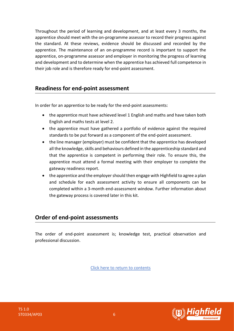Throughout the period of learning and development, and at least every 3 months, the apprentice should meet with the on-programme assessor to record their progress against the standard. At these reviews, evidence should be discussed and recorded by the apprentice. The maintenance of an on-programme record is important to support the apprentice, on-programme assessor and employer in monitoring the progress of learning and development and to determine when the apprentice has achieved full competence in their job role and is therefore ready for end-point assessment.

### **Readiness for end-point assessment**

In order for an apprentice to be ready for the end-point assessments:

- the apprentice must have achieved level 1 English and maths and have taken both English and maths tests at level 2.
- the apprentice must have gathered a portfolio of evidence against the required standards to be put forward as a component of the end-point assessment.
- the line manager (employer) must be confident that the apprentice has developed all the knowledge, skills and behaviours defined in the apprenticeship standard and that the apprentice is competent in performing their role. To ensure this, the apprentice must attend a formal meeting with their employer to complete the gateway readiness report.
- the apprentice and the employer should then engage with Highfield to agree a plan and schedule for each assessment activity to ensure all components can be completed within a 3-month end-assessment window. Further information about the gateway process is covered later in this kit.

### **Order of end-point assessments**

The order of end-point assessment is; knowledge test, practical observation and professional discussion.

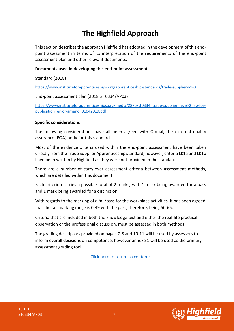## **The Highfield Approach**

<span id="page-6-0"></span>This section describes the approach Highfield has adopted in the development of this endpoint assessment in terms of its interpretation of the requirements of the end-point assessment plan and other relevant documents.

#### **Documents used in developing this end-point assessment**

Standard (2018)

<https://www.instituteforapprenticeships.org/apprenticeship-standards/trade-supplier-v1-0>

End-point assessment plan (2018 ST 0334/AP03)

[https://www.instituteforapprenticeships.org/media/2875/st0334\\_trade-supplier\\_level-2\\_ap-for](https://www.instituteforapprenticeships.org/media/2875/st0334_trade-supplier_level-2_ap-for-publication_error-amend_01042019.pdf)[publication\\_error-amend\\_01042019.pdf](https://www.instituteforapprenticeships.org/media/2875/st0334_trade-supplier_level-2_ap-for-publication_error-amend_01042019.pdf)

#### **Specific considerations**

The following considerations have all been agreed with Ofqual, the external quality assurance (EQA) body for this standard.

Most of the evidence criteria used within the end-point assessment have been taken directly from the Trade Supplier Apprenticeship standard, however, criteria LK1a and LK1b have been written by Highfield as they were not provided in the standard.

There are a number of carry-over assessment criteria between assessment methods, which are detailed within this document.

Each criterion carries a possible total of 2 marks, with 1 mark being awarded for a pass and 1 mark being awarded for a distinction.

With regards to the marking of a fail/pass for the workplace activities, it has been agreed that the fail marking range is 0-49 with the pass, therefore, being 50-65.

Criteria that are included in both the knowledge test and either the real-life practical observation or the professional discussion, must be assessed in both methods.

The grading descriptors provided on pages 7-8 and 10-11 will be used by assessors to inform overall decisions on competence, however annexe 1 will be used as the primary assessment grading tool.

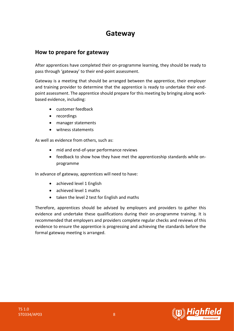## **Gateway**

### <span id="page-7-0"></span>**How to prepare for gateway**

After apprentices have completed their on-programme learning, they should be ready to pass through 'gateway' to their end-point assessment.

Gateway is a meeting that should be arranged between the apprentice, their employer and training provider to determine that the apprentice is ready to undertake their endpoint assessment. The apprentice should prepare for this meeting by bringing along workbased evidence, including:

- customer feedback
- recordings
- manager statements
- witness statements

As well as evidence from others, such as:

- mid and end-of-year performance reviews
- feedback to show how they have met the apprenticeship standards while onprogramme

In advance of gateway, apprentices will need to have:

- achieved level 1 English
- achieved level 1 maths
- taken the level 2 test for English and maths

Therefore, apprentices should be advised by employers and providers to gather this evidence and undertake these qualifications during their on-programme training. It is recommended that employers and providers complete regular checks and reviews of this evidence to ensure the apprentice is progressing and achieving the standards before the formal gateway meeting is arranged.

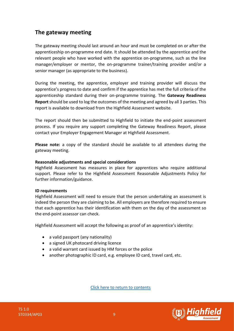### **The gateway meeting**

The gateway meeting should last around an hour and must be completed on or after the apprenticeship on-programme end date. It should be attended by the apprentice and the relevant people who have worked with the apprentice on-programme, such as the line manager/employer or mentor, the on-programme trainer/training provider and/or a senior manager (as appropriate to the business).

During the meeting, the apprentice, employer and training provider will discuss the apprentice's progress to date and confirm if the apprentice has met the full criteria of the apprenticeship standard during their on-programme training. The **Gateway Readiness Report** should be used to log the outcomes of the meeting and agreed by all 3 parties. This report is available to download from the Highfield Assessment website.

The report should then be submitted to Highfield to initiate the end-point assessment process. If you require any support completing the Gateway Readiness Report, please contact your Employer Engagement Manager at Highfield Assessment.

**Please note:** a copy of the standard should be available to all attendees during the gateway meeting.

#### **Reasonable adjustments and special considerations**

Highfield Assessment has measures in place for apprentices who require additional support. Please refer to the Highfield Assessment Reasonable Adjustments Policy for further information/guidance.

#### **ID requirements**

Highfield Assessment will need to ensure that the person undertaking an assessment is indeed the person they are claiming to be. All employers are therefore required to ensure that each apprentice has their identification with them on the day of the assessment so the end-point assessor can check.

Highfield Assessment will accept the following as proof of an apprentice's identity:

- a valid passport (any nationality)
- a signed UK photocard driving licence
- a valid warrant card issued by HM forces or the police
- another photographic ID card, e.g. employee ID card, travel card, etc.



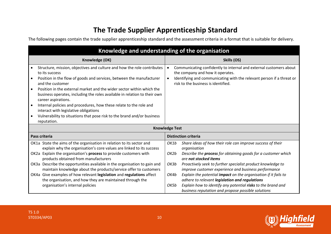## **The Trade Supplier Apprenticeship Standard**

The following pages contain the trade supplier apprenticeship standard and the assessment criteria in a format that is suitable for delivery.

<span id="page-9-0"></span>

|                                                  | Knowledge and understanding of the organisation                                                                                                                                                                                                                                                                                                                                                                                                                                                                                                                                       |                                      |                                                                                                                                                                                                                                                                                                                                                                                                                                                                                                                                               |
|--------------------------------------------------|---------------------------------------------------------------------------------------------------------------------------------------------------------------------------------------------------------------------------------------------------------------------------------------------------------------------------------------------------------------------------------------------------------------------------------------------------------------------------------------------------------------------------------------------------------------------------------------|--------------------------------------|-----------------------------------------------------------------------------------------------------------------------------------------------------------------------------------------------------------------------------------------------------------------------------------------------------------------------------------------------------------------------------------------------------------------------------------------------------------------------------------------------------------------------------------------------|
|                                                  | Knowledge (OK)                                                                                                                                                                                                                                                                                                                                                                                                                                                                                                                                                                        |                                      | Skills (OS)                                                                                                                                                                                                                                                                                                                                                                                                                                                                                                                                   |
| $\bullet$<br>$\bullet$<br>$\bullet$<br>$\bullet$ | Structure, mission, objectives and culture and how the role contributes<br>to its success<br>Position in the flow of goods and services, between the manufacturer<br>and the customer<br>Position in the external market and the wider sector within which the<br>business operates, including the roles available in relation to their own<br>career aspirations.<br>Internal policies and procedures, how these relate to the role and<br>interact with legislative obligations<br>Vulnerability to situations that pose risk to the brand and/or business<br>reputation.           | $\bullet$<br>$\bullet$               | Communicating confidently to internal and external customers about<br>the company and how it operates.<br>Identifying and communicating with the relevant person if a threat or<br>risk to the business is identified.                                                                                                                                                                                                                                                                                                                        |
|                                                  | <b>Knowledge Test</b>                                                                                                                                                                                                                                                                                                                                                                                                                                                                                                                                                                 |                                      |                                                                                                                                                                                                                                                                                                                                                                                                                                                                                                                                               |
|                                                  | Pass criteria                                                                                                                                                                                                                                                                                                                                                                                                                                                                                                                                                                         |                                      | <b>Distinction criteria</b>                                                                                                                                                                                                                                                                                                                                                                                                                                                                                                                   |
|                                                  | OK1a State the aims of the organisation in relation to its sector and<br>explain why the organisation's core values are linked to its success<br>OK2a Explain the organisation's process to provide customers with<br>products obtained from manufacturers<br>OK3a Describe the opportunities available in the organisation to gain and<br>maintain knowledge about the products/service offer to customers<br>OK4a Give examples of how relevant legislation and regulations affect<br>the organisation, and how they are maintained through the<br>organisation's internal policies | OK1b<br>OK2b<br>OK3b<br>OK4b<br>OK5b | Share ideas of how their role can improve success of their<br>organisation<br>Describe the <b>process</b> for obtaining goods for a customer which<br>are not stocked items<br>Proactively seek to further specialist product knowledge to<br>improve customer experience and business performance<br>Explain the potential impact on the organisation if it fails to<br>adhere to relevant legislation and regulations<br>Explain how to identify any potential risks to the brand and<br>business reputation and propose possible solutions |

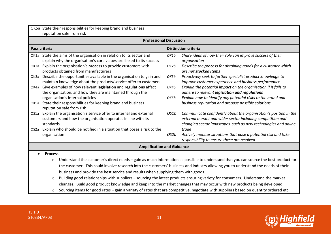|                                                                                                                                                 | OK5a State their responsibilities for keeping brand and business<br>reputation safe from risk                                                                                                                                                                          |              |                                                                                                                                                                                                   |  |
|-------------------------------------------------------------------------------------------------------------------------------------------------|------------------------------------------------------------------------------------------------------------------------------------------------------------------------------------------------------------------------------------------------------------------------|--------------|---------------------------------------------------------------------------------------------------------------------------------------------------------------------------------------------------|--|
|                                                                                                                                                 | <b>Professional Discussion</b>                                                                                                                                                                                                                                         |              |                                                                                                                                                                                                   |  |
|                                                                                                                                                 | Pass criteria                                                                                                                                                                                                                                                          |              | <b>Distinction criteria</b>                                                                                                                                                                       |  |
|                                                                                                                                                 | OK1a State the aims of the organisation in relation to its sector and<br>explain why the organisation's core values are linked to its success<br>OK2a Explain the organisation's process to provide customers with                                                     | OK1b<br>OK2b | Share ideas of how their role can improve success of their<br>organisation<br>Describe the process for obtaining goods for a customer which                                                       |  |
|                                                                                                                                                 | products obtained from manufacturers                                                                                                                                                                                                                                   |              | are not stocked items                                                                                                                                                                             |  |
|                                                                                                                                                 | OK3a Describe the opportunities available in the organisation to gain and<br>maintain knowledge about the products/service offer to customers                                                                                                                          | OK3b         | Proactively seek to further specialist product knowledge to<br>improve customer experience and business performance                                                                               |  |
|                                                                                                                                                 | OK4a Give examples of how relevant legislation and regulations affect<br>the organisation, and how they are maintained through the                                                                                                                                     | OK4b         | Explain the potential impact on the organisation if it fails to<br>adhere to relevant legislation and regulations                                                                                 |  |
|                                                                                                                                                 | organisation's internal policies<br>OK5a State their responsibilities for keeping brand and business<br>reputation safe from risk                                                                                                                                      | OK5b         | Explain how to identify any potential risks to the brand and<br>business reputation and propose possible solutions                                                                                |  |
|                                                                                                                                                 | OS1a Explain the organisation's service offer to internal and external<br>customers and how the organisation operates in line with its<br>standards                                                                                                                    | OS1b         | Communicate confidently about the organisation's position in the<br>external market and wider sector including competition and<br>changing sector landscapes, such as new technologies and online |  |
|                                                                                                                                                 | OS2a Explain who should be notified in a situation that poses a risk to the<br>organisation                                                                                                                                                                            | OS2b         | trade<br>Actively monitor situations that pose a potential risk and take<br>responsibility to ensure these are resolved                                                                           |  |
|                                                                                                                                                 | <b>Amplification and Guidance</b>                                                                                                                                                                                                                                      |              |                                                                                                                                                                                                   |  |
|                                                                                                                                                 | <b>Process</b>                                                                                                                                                                                                                                                         |              |                                                                                                                                                                                                   |  |
| Understand the customer's direct needs - gain as much information as possible to understand that you can source the best product for<br>$\circ$ |                                                                                                                                                                                                                                                                        |              |                                                                                                                                                                                                   |  |
|                                                                                                                                                 | the customer. This could involve research into the customers' business and industry allowing you to understand the needs of their                                                                                                                                      |              |                                                                                                                                                                                                   |  |
|                                                                                                                                                 | business and provide the best service and results when supplying them with goods.                                                                                                                                                                                      |              |                                                                                                                                                                                                   |  |
|                                                                                                                                                 | Building good relationships with suppliers - sourcing the latest products ensuring variety for consumers. Understand the market<br>$\circ$<br>changes. Build good product knowledge and keep into the market changes that may occur with new products being developed. |              |                                                                                                                                                                                                   |  |
|                                                                                                                                                 | Sourcing items for good rates - gain a variety of rates that are competitive, negotiate with suppliers based on quantity ordered etc.<br>$\circ$                                                                                                                       |              |                                                                                                                                                                                                   |  |

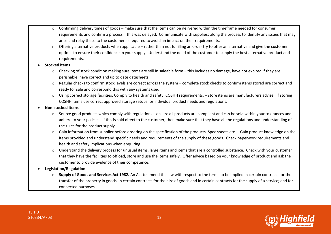- $\circ$  Confirming delivery times of goods make sure that the items can be delivered within the timeframe needed for consumer requirements and confirm a process if this was delayed. Communicate with suppliers along the process to identify any issues that may arise and relay these to the customer as required to avoid an impact on their requirements.
- $\circ$  Offering alternative products when applicable rather than not fulfilling an order try to offer an alternative and give the customer options to ensure their confidence in your supply. Understand the need of the customer to supply the best alternative product and requirements.

#### • **Stocked items**

- $\circ$  Checking of stock condition making sure items are still in saleable form this includes no damage, have not expired if they are perishable, have correct and up to date datasheets.
- o Regular checks to confirm stock levels are correct across the system complete stock checks to confirm items stored are correct and ready for sale and correspond this with any systems used.
- o Using correct storage facilities. Comply to health and safety, COSHH requirements. store items are manufacturers advise. If storing COSHH items use correct approved storage setups for individual product needs and regulations.

#### • **Non-stocked items**

- o Source good products which comply with regulations ensure all products are compliant and can be sold within your tolerances and adhere to your policies. If this is sold direct to the customer, then make sure that they have all the regulations and understanding of the rules for the product supply.
- o Gain information from supplier before ordering on the specification of the products. Spec sheets etc. Gain product knowledge on the items provided and understand specific needs and requirements of the supply of these goods. Check paperwork requirements and health and safety implications when enquiring.
- $\circ$  Understand the delivery process for unusual items, large items and items that are a controlled substance. Check with your customer that they have the facilities to offload, store and use the items safely. Offer advice based on your knowledge of product and ask the customer to provide evidence of their competence.

#### • **Legislation/Regulation**

o **Supply of Goods and Services Act 1982.** An Act to amend the law with respect to the terms to be implied in certain contracts for the transfer of the property in goods, in certain contracts for the hire of goods and in certain contracts for the supply of a service; and for connected purposes.

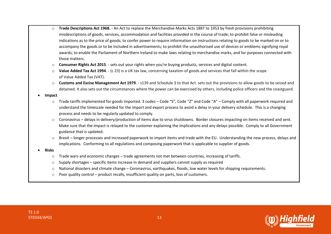- o **Trade Descriptions Act 1968.**  An Act to replace the Merchandise Marks Acts 1887 to 1953 by fresh provisions prohibiting misdescriptions of goods, services, accommodation and facilities provided in the course of trade; to prohibit false or misleading indications as to the price of goods; to confer power to require information on instructions relating to goods to be marked on or to accompany the goods or to be included in advertisements; to prohibit the unauthorised use of devices or emblems signifying royal awards; to enable the Parliament of Northern Ireland to make laws relating to merchandise marks, and for purposes connected with those matters.
- o **Consumer Rights Act 2015**. sets out your rights when you're buying products, services and digital content.
- o **Value Added Tax Act 1994**. (c 23) is a UK tax law, concerning taxation of goods and services that fall within the scope of Value Added Tax (VAT).
- o **Customs and Excise Management Act 1979**. s139 and Schedule 3 to that Act. sets out the provisions to allow goods to be seized and detained. It also sets out the circumstances where the power can be exercised by others, including police officers and the coastguard.
- **Impact**
	- $\circ$  Trade tariffs implemented for goods imported. 3 codes Code "S", Code "Z" and Code "A" Comply with all paperwork required and understand the timescale needed for the import and export process to avoid a delay in your delivery schedule. This is a changing process and needs to be regularly updated to comply.
	- $\circ$  Coronavirus delays in delivery/production of items due to virus shutdowns. Border closures impacting on items received and sent. Make sure that the impact is relayed to the customer explaining the implications and any delays possible. Comply to all Government guidance that is updated.
	- o Brexit longer processes and increased paperwork to import items and trade with the EU. Understanding the new process, delays and implications. Conforming to all regulations and composing paperwork that is applicable to supplier of goods.
- **Risks**
	- o Trade wars and economic changes trade agreements not met between countries, increasing of tariffs.
	- $\circ$  Supply shortages specific items increase in demand and suppliers cannot supply as required
	- o National disasters and climate change Coronavirus, earthquakes, floods, low water levels for shipping requirements.
	- $\circ$  Poor quality control product recalls, insufficient quality on parts, loss of customers.

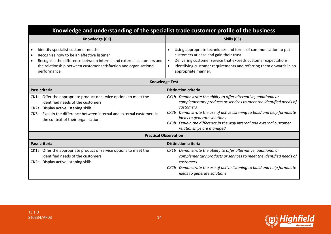| Knowledge and understanding of the specialist trade customer profile of the business                                                                                                                                                                          |                                                                                                                                                                                                                                                                                                                                                                      |  |  |
|---------------------------------------------------------------------------------------------------------------------------------------------------------------------------------------------------------------------------------------------------------------|----------------------------------------------------------------------------------------------------------------------------------------------------------------------------------------------------------------------------------------------------------------------------------------------------------------------------------------------------------------------|--|--|
| Knowledge (CK)                                                                                                                                                                                                                                                | Skills (CS)                                                                                                                                                                                                                                                                                                                                                          |  |  |
| Identify specialist customer needs.<br>Recognise how to be an effective listener<br>Recognise the difference between internal and external customers and<br>$\bullet$<br>the relationship between customer satisfaction and organisational<br>performance     | Using appropriate techniques and forms of communication to put<br>$\bullet$<br>customers at ease and gain their trust.<br>Delivering customer service that exceeds customer expectations.<br>$\bullet$<br>Identifying customer requirements and referring them onwards in an<br>$\bullet$<br>appropriate manner.                                                     |  |  |
| <b>Knowledge Test</b>                                                                                                                                                                                                                                         |                                                                                                                                                                                                                                                                                                                                                                      |  |  |
| Pass criteria                                                                                                                                                                                                                                                 | <b>Distinction criteria</b>                                                                                                                                                                                                                                                                                                                                          |  |  |
| CK1a Offer the appropriate product or service options to meet the<br>identified needs of the customers<br>CK2a Display active listening skills<br>CK3a Explain the difference between internal and external customers in<br>the context of their organisation | CK1b Demonstrate the ability to offer alternative, additional or<br>complementary products or services to meet the identified needs of<br>customers<br>CK2b Demonstrate the use of active listening to build and help formulate<br>ideas to generate solutions<br>CK3b Explain the difference in the way internal and external customer<br>relationships are managed |  |  |
| <b>Practical Observation</b>                                                                                                                                                                                                                                  |                                                                                                                                                                                                                                                                                                                                                                      |  |  |
| Pass criteria                                                                                                                                                                                                                                                 | <b>Distinction criteria</b>                                                                                                                                                                                                                                                                                                                                          |  |  |
| CK1a Offer the appropriate product or service options to meet the<br>identified needs of the customers<br>CK2a Display active listening skills                                                                                                                | CK1b Demonstrate the ability to offer alternative, additional or<br>complementary products or services to meet the identified needs of<br>customers<br>CK2b Demonstrate the use of active listening to build and help formulate<br>ideas to generate solutions                                                                                                       |  |  |



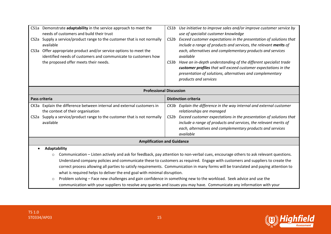| CS1a Demonstrate adaptability in the service approach to meet the<br>needs of customers and build their trust<br>CS2a Supply a service/product range to the customer that is not normally<br>available<br>CS3a Offer appropriate product and/or service options to meet the<br>identified needs of customers and communicate to customers how<br>the proposed offer meets their needs.                                                                                                             | CS1b Use initiative to improve sales and/or improve customer service by<br>use of specialist customer knowledge<br>Exceed customer expectations in the presentation of solutions that<br>CS2b<br>include a range of products and services, the relevant merits of<br>each, alternatives and complementary products and services<br>available<br>Have an in-depth understanding of the different specialist trade<br>CS3b<br>customer profiles that will exceed customer expectations in the<br>presentation of solutions, alternatives and complementary<br>products and services |  |
|----------------------------------------------------------------------------------------------------------------------------------------------------------------------------------------------------------------------------------------------------------------------------------------------------------------------------------------------------------------------------------------------------------------------------------------------------------------------------------------------------|-----------------------------------------------------------------------------------------------------------------------------------------------------------------------------------------------------------------------------------------------------------------------------------------------------------------------------------------------------------------------------------------------------------------------------------------------------------------------------------------------------------------------------------------------------------------------------------|--|
|                                                                                                                                                                                                                                                                                                                                                                                                                                                                                                    | <b>Professional Discussion</b>                                                                                                                                                                                                                                                                                                                                                                                                                                                                                                                                                    |  |
| Pass criteria                                                                                                                                                                                                                                                                                                                                                                                                                                                                                      | <b>Distinction criteria</b>                                                                                                                                                                                                                                                                                                                                                                                                                                                                                                                                                       |  |
| CK3a Explain the difference between internal and external customers in<br>the context of their organisation                                                                                                                                                                                                                                                                                                                                                                                        | CK3b Explain the difference in the way internal and external customer<br>relationships are managed                                                                                                                                                                                                                                                                                                                                                                                                                                                                                |  |
| CS2a Supply a service/product range to the customer that is not normally<br>available                                                                                                                                                                                                                                                                                                                                                                                                              | Exceed customer expectations in the presentation of solutions that<br>CS2b<br>include a range of products and services, the relevant merits of<br>each, alternatives and complementary products and services<br>available                                                                                                                                                                                                                                                                                                                                                         |  |
| <b>Amplification and Guidance</b>                                                                                                                                                                                                                                                                                                                                                                                                                                                                  |                                                                                                                                                                                                                                                                                                                                                                                                                                                                                                                                                                                   |  |
| Adaptability                                                                                                                                                                                                                                                                                                                                                                                                                                                                                       |                                                                                                                                                                                                                                                                                                                                                                                                                                                                                                                                                                                   |  |
| Communication - Listen actively and ask for feedback, pay attention to non-verbal cues, encourage others to ask relevant questions.<br>$\circ$<br>Understand company policies and communicate these to customers as required. Engage with customers and suppliers to create the<br>correct process allowing all parties to satisfy requirements. Communication in many forms will be translated and paying attention to<br>what is required helps to deliver the end goal with minimal disruption. |                                                                                                                                                                                                                                                                                                                                                                                                                                                                                                                                                                                   |  |
| Problem solving - Face new challenges and gain confidence in something new to the workload. Seek advice and use the<br>$\circ$<br>communication with your suppliers to resolve any queries and issues you may have. Communicate any information with your                                                                                                                                                                                                                                          |                                                                                                                                                                                                                                                                                                                                                                                                                                                                                                                                                                                   |  |

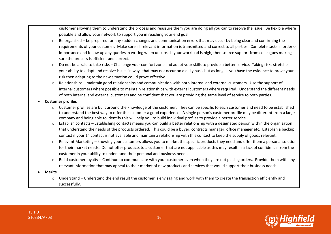customer allowing them to understand the process and reassure them you are doing all you can to resolve the issue. Be flexible where possible and allow your network to support you in reaching your end goal.

- $\circ$  Be organised be prepared for any sudden changes and communication errors that may occur by being clear and confirming the requirements of your customer. Make sure all relevant information is transmitted and correct to all parties. Complete tasks in order of importance and follow up any queries in writing when unsure. If your workload is high, then source support from colleagues making sure the process is efficient and correct.
- o Do not be afraid to take risks Challenge your comfort zone and adapt your skills to provide a better service. Taking risks stretches your ability to adapt and resolve issues in ways that may not occur on a daily basis but as long as you have the evidence to prove your risk then adapting to the new situation could prove effective.
- $\circ$  Relationships maintain good relationships and communication with both internal and external customers. Use the support of internal customers where possible to maintain relationships with external customers where required. Understand the different needs of both internal and external customers and be confident that you are providing the same level of service to both parties.
- **Customer profiles**
	- $\circ$  Customer profiles are built around the knowledge of the customer. They can be specific to each customer and need to be established to understand the best way to offer the customer a good experience. A single person's customer profile may be different from a large company and being able to identify this will help you to build individual profiles to provide a better service.
	- $\circ$  Establish contacts Establishing contacts means you can build a better relationship with a designated person within the organisation that understand the needs of the products ordered. This could be a buyer, contracts manager, office manager etc. Establish a backup contact if your 1<sup>st</sup> contact is not available and maintain a relationship with this contact to keep the supply of goods relevant.
	- $\circ$  Relevant Marketing knowing your customers allows you to market the specific products they need and offer them a personal solution for their market needs. Do not offer products to a customer that are not applicable as this may result in a lack of confidence from the customer in your ability to understand their personal and business needs.
	- o Build customer loyalty Continue to communicate with your customer even when they are not placing orders. Provide them with any relevant information that may appeal to their market of new products and services that would support their business needs.
- **Merits**
	- $\circ$  Understand Understand the end result the customer is envisaging and work with them to create the transaction efficiently and successfully.

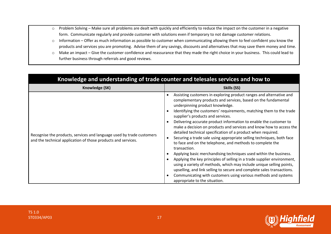- o Problem Solving Make sure all problems are dealt with quickly and efficiently to reduce the impact on the customer in a negative form. Communicate regularly and provide customer with solutions even if temporary to not damage customer relations.
- o Information Offer as much information as possible to customer when communicating allowing them to feel confident you know the products and services you are promoting. Advise them of any savings, discounts and alternatives that may save them money and time.
- o Make an impact Give the customer confidence and reassurance that they made the right choice in your business. This could lead to further business through referrals and good reviews.

| Knowledge and understanding of trade counter and telesales services and how to                                                         |                                                                                                                                                                                                                                                                                                                                                                                                                                                                                                                                                                                                                                                                                                                                                                                                                                                                                                                                                                                                                                                            |  |  |
|----------------------------------------------------------------------------------------------------------------------------------------|------------------------------------------------------------------------------------------------------------------------------------------------------------------------------------------------------------------------------------------------------------------------------------------------------------------------------------------------------------------------------------------------------------------------------------------------------------------------------------------------------------------------------------------------------------------------------------------------------------------------------------------------------------------------------------------------------------------------------------------------------------------------------------------------------------------------------------------------------------------------------------------------------------------------------------------------------------------------------------------------------------------------------------------------------------|--|--|
| Knowledge (SK)                                                                                                                         | Skills (SS)                                                                                                                                                                                                                                                                                                                                                                                                                                                                                                                                                                                                                                                                                                                                                                                                                                                                                                                                                                                                                                                |  |  |
| Recognise the products, services and language used by trade customers<br>and the technical application of those products and services. | Assisting customers in exploring product ranges and alternative and<br>complementary products and services, based on the fundamental<br>underpinning product knowledge.<br>Identifying the customers' requirements, matching them to the trade<br>supplier's products and services.<br>Delivering accurate product information to enable the customer to<br>make a decision on products and services and know how to access the<br>detailed technical specification of a product when required.<br>Securing a trade sale using appropriate selling techniques, both face<br>to face and on the telephone, and methods to complete the<br>transaction.<br>Applying basic merchandising techniques used within the business.<br>Applying the key principles of selling in a trade supplier environment,<br>using a variety of methods, which may include unique selling points,<br>upselling, and link selling to secure and complete sales transactions.<br>Communicating with customers using various methods and systems<br>appropriate to the situation. |  |  |



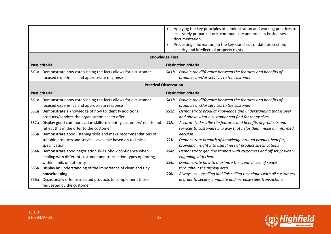|      |                                                                                                                                   | $\bullet$<br>$\bullet$ | Applying the key principles of administration and working practices to<br>accurately prepare, store, communicate and process businesses<br>documentation.<br>Processing information, to the key standards of data protection,<br>security and intellectual property rights. |
|------|-----------------------------------------------------------------------------------------------------------------------------------|------------------------|-----------------------------------------------------------------------------------------------------------------------------------------------------------------------------------------------------------------------------------------------------------------------------|
|      | <b>Knowledge Test</b>                                                                                                             |                        |                                                                                                                                                                                                                                                                             |
|      | Pass criteria                                                                                                                     |                        | <b>Distinction criteria</b>                                                                                                                                                                                                                                                 |
|      | SK1a Demonstrate how establishing the facts allows for a customer-<br>focused experience and appropriate response                 | SK1b                   | Explain the difference between the features and benefits of<br>products and/or services to the customer                                                                                                                                                                     |
|      | <b>Practical Observation</b>                                                                                                      |                        |                                                                                                                                                                                                                                                                             |
|      | Pass criteria                                                                                                                     |                        | <b>Distinction criteria</b>                                                                                                                                                                                                                                                 |
|      | SK1a Demonstrate how establishing the facts allows for a customer-<br>focused experience and appropriate response                 | SK1b                   | Explain the difference between the features and benefits of<br>products and/or services to the customer                                                                                                                                                                     |
|      | SS1a Demonstrate a knowledge of how to identify additional<br>products/services the organisation has to offer                     | SS1b                   | Demonstrate product knowledge and understanding that is over<br>and above what a customer can find for themselves                                                                                                                                                           |
| SS2a | Display good communication skills to identify customers' needs and<br>reflect this in the offer to the customer                   | SS2b                   | Accurately describe the features and benefits of products and<br>services to customers in a way that helps them make an informed                                                                                                                                            |
|      | SS3a Demonstrate good listening skills and make recommendations of                                                                |                        | decision                                                                                                                                                                                                                                                                    |
|      | suitable products and services available based on technical<br>specification                                                      | SS3b                   | Demonstrate breadth of knowledge around product benefits,<br>providing insight into usefulness of product specifications                                                                                                                                                    |
|      | SS4a Demonstrate good negotiation skills. Show confidence when<br>dealing with different customer and transaction types operating | SS4b                   | Demonstrate genuine rapport with customers and off script when<br>engaging with them                                                                                                                                                                                        |
|      | within limits of authority                                                                                                        | SS5b                   | Demonstrate how to maximize the creative use of space                                                                                                                                                                                                                       |
| SS5a | Display an understanding of the importance of clean and tidy                                                                      |                        | throughout the display area                                                                                                                                                                                                                                                 |
|      | housekeeping                                                                                                                      | SS6b                   | Always use upselling and link selling techniques with all customers                                                                                                                                                                                                         |
| SS6a | Occasionally offer associated products to complement those<br>requested by the customer                                           |                        | in order to secure, complete and increase sales transactions                                                                                                                                                                                                                |

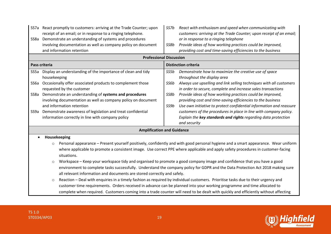|      | SS7a React promptly to customers: arriving at the Trade Counter; upon<br>receipt of an email; or in response to a ringing telephone. | SS7b | React with enthusiasm and speed when communicating with<br>customers: arriving at the Trade Counter; upon receipt of an email;      |
|------|--------------------------------------------------------------------------------------------------------------------------------------|------|-------------------------------------------------------------------------------------------------------------------------------------|
| SS8a | Demonstrate an understanding of systems and procedures                                                                               |      | or in response to a ringing telephone                                                                                               |
|      | involving documentation as well as company policy on document                                                                        | SS8b | Provide ideas of how working practices could be improved,                                                                           |
|      | and information retention                                                                                                            |      | providing cost and time-saving efficiencies to the business                                                                         |
|      | <b>Professional Discussion</b>                                                                                                       |      |                                                                                                                                     |
|      | Pass criteria                                                                                                                        |      | <b>Distinction criteria</b>                                                                                                         |
| SS5a | Display an understanding of the importance of clean and tidy                                                                         | SS5b | Demonstrate how to maximize the creative use of space                                                                               |
|      | housekeeping                                                                                                                         |      | throughout the display area                                                                                                         |
| SS6a | Occasionally offer associated products to complement those<br>requested by the customer                                              | SS6b | Always use upselling and link selling techniques with all customers<br>in order to secure, complete and increase sales transactions |
| SS8a | Demonstrate an understanding of systems and procedures                                                                               | SS8b | Provide ideas of how working practices could be improved,                                                                           |
|      | involving documentation as well as company policy on document                                                                        |      | providing cost and time-saving efficiencies to the business                                                                         |
|      | and information retention                                                                                                            | SS9b | Use own initiative to protect confidential information and reassure                                                                 |
| SS9a | Demonstrate awareness of legislation and treat confidential                                                                          |      | customers of the procedures in place in line with company policy.                                                                   |
|      | information correctly in line with company policy                                                                                    |      | Explain the key standards and rights regarding data protection                                                                      |
|      |                                                                                                                                      |      | and security                                                                                                                        |
|      | <b>Amplification and Guidance</b>                                                                                                    |      |                                                                                                                                     |
|      | Housekeeping                                                                                                                         |      |                                                                                                                                     |
|      | $\circ$                                                                                                                              |      | Personal appearance – Present yourself positively, confidently and with good personal hygiene and a smart appearance. Wear uniform  |
|      |                                                                                                                                      |      | where applicable to promote a consistent image. Use correct PPE where applicable and apply safety procedures in customer-facing     |
|      | situations.                                                                                                                          |      |                                                                                                                                     |
|      | Workspace - Keep your workspace tidy and organised to promote a good company image and confidence that you have a good<br>$\circ$    |      |                                                                                                                                     |
|      | environment to complete tasks successfully. Understand the company policy for GDPR and the Data Protection Act 2018 making sure      |      |                                                                                                                                     |
|      | all relevant information and documents are stored correctly and safely.                                                              |      |                                                                                                                                     |
|      | $\circ$                                                                                                                              |      | Reaction - Deal with enquiries in a timely fashion as required by individual customers. Prioritise tasks due to their urgency and   |
|      | customer time requirements. Orders received in advance can be planned into your working programme and time allocated to              |      |                                                                                                                                     |
|      |                                                                                                                                      |      | complete when required. Customers coming into a trade counter will need to be dealt with quickly and efficiently without affecting  |

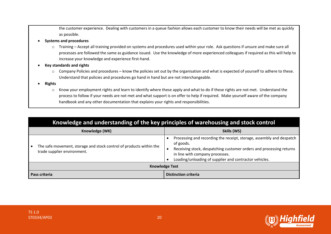the customer experience. Dealing with customers in a queue fashion allows each customer to know their needs will be met as quickly as possible.

- **Systems and procedures**
	- o Training Accept all training provided on systems and procedures used within your role. Ask questions if unsure and make sure all processes are followed the same as guidance issued. Use the knowledge of more experienced colleagues if required as this will help to increase your knowledge and experience first-hand.
- **Key standards and rights**
	- $\circ$  Company Policies and procedures know the policies set out by the organisation and what is expected of yourself to adhere to these. Understand that policies and procedures go hand in hand but are not interchangeable.
- **Rights** 
	- o Know your employment rights and learn to identify where these apply and what to do if these rights are not met. Understand the process to follow if your needs are not met and what support is on offer to help if required. Make yourself aware of the company handbook and any other documentation that explains your rights and responsibilities.

| Knowledge and understanding of the key principles of warehousing and stock control                 |                                                                                                                                                                                                                                                       |  |  |
|----------------------------------------------------------------------------------------------------|-------------------------------------------------------------------------------------------------------------------------------------------------------------------------------------------------------------------------------------------------------|--|--|
| Knowledge (WK)                                                                                     | Skills (WS)                                                                                                                                                                                                                                           |  |  |
| The safe movement, storage and stock control of products within the<br>trade supplier environment. | Processing and recording the receipt, storage, assembly and despatch<br>of goods.<br>Receiving stock, despatching customer orders and processing returns<br>in line with company processes.<br>Loading/unloading of supplier and contractor vehicles. |  |  |
| <b>Knowledge Test</b>                                                                              |                                                                                                                                                                                                                                                       |  |  |
| <b>Distinction criteria</b><br>Pass criteria                                                       |                                                                                                                                                                                                                                                       |  |  |

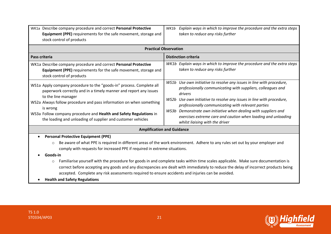| WK1a Describe company procedure and correct Personal Protective<br>Equipment (PPE) requirements for the safe movement, storage and<br>stock control of products                                                                                                                                                                                                                         | Explain ways in which to improve the procedure and the extra steps<br>WK1b<br>taken to reduce any risks further                                                                                                                                                                                                                                                                                                                                       |  |
|-----------------------------------------------------------------------------------------------------------------------------------------------------------------------------------------------------------------------------------------------------------------------------------------------------------------------------------------------------------------------------------------|-------------------------------------------------------------------------------------------------------------------------------------------------------------------------------------------------------------------------------------------------------------------------------------------------------------------------------------------------------------------------------------------------------------------------------------------------------|--|
|                                                                                                                                                                                                                                                                                                                                                                                         | <b>Practical Observation</b>                                                                                                                                                                                                                                                                                                                                                                                                                          |  |
| Pass criteria                                                                                                                                                                                                                                                                                                                                                                           | <b>Distinction criteria</b>                                                                                                                                                                                                                                                                                                                                                                                                                           |  |
| WK1a Describe company procedure and correct Personal Protective<br>Equipment (PPE) requirements for the safe movement, storage and<br>stock control of products                                                                                                                                                                                                                         | WK1b Explain ways in which to improve the procedure and the extra steps<br>taken to reduce any risks further                                                                                                                                                                                                                                                                                                                                          |  |
| WS1a Apply company procedure to the "goods-in" process. Complete all<br>paperwork correctly and in a timely manner and report any issues<br>to the line manager<br>WS2a Always follow procedure and pass information on when something<br>is wrong<br>WS3a Follow company procedure and Health and Safety Regulations in<br>the loading and unloading of supplier and customer vehicles | WS1b Use own initiative to resolve any issues in line with procedure,<br>professionally communicating with suppliers, colleagues and<br>drivers<br>WS2b Use own initiative to resolve any issues in line with procedure,<br>professionally communicating with relevant parties<br>WS3b Demonstrate own initiative when dealing with suppliers and<br>exercises extreme care and caution when loading and unloading<br>whilst liaising with the driver |  |
|                                                                                                                                                                                                                                                                                                                                                                                         | <b>Amplification and Guidance</b>                                                                                                                                                                                                                                                                                                                                                                                                                     |  |
| <b>Personal Protective Equipment (PPE)</b><br>comply with requests for increased PPE if required in extreme situations.<br>Goods-in<br>$\circ$<br>accepted. Complete any risk assessments required to ensure accidents and injuries can be avoided.                                                                                                                                     | Be aware of what PPE is required in different areas of the work environment. Adhere to any rules set out by your employer and<br>Familiarise yourself with the procedure for goods in and complete tasks within time scales applicable. Make sure documentation is<br>correct before accepting any goods and any discrepancies are dealt with immediately to reduce the delay of incorrect products being                                             |  |
| <b>Health and Safety Regulations</b>                                                                                                                                                                                                                                                                                                                                                    |                                                                                                                                                                                                                                                                                                                                                                                                                                                       |  |



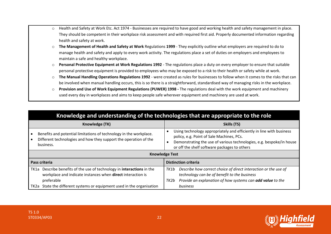- o Health and Safety at Work Etc. Act 1974 Businesses are required to have good and working health and safety management in place. They should be competent in their workplace risk assessment and with required first aid. Properly documented information regarding health and safety at work.
- o **The Management of Health and Safety at Work** Regulations **1999** They explicitly outline what employers are required to do to manage health and safety and apply to every work activity. The regulations place a set of duties on employers and employees to maintain a safe and healthy workplace.
- o **Personal Protective Equipment at Work Regulations 1992** The regulations place a duty on every employer to ensure that suitable personal protective equipment is provided to employees who may be exposed to a risk to their health or safety while at work.
- o **The Manual Handling Operations Regulations 1992** were created as rules for businesses to follow when it comes to the risks that can be involved when manual handling occurs, this is so there is a straightforward, standardised way of managing risks in the workplace.
- o **Provision and Use of Work Equipment Regulations (PUWER) 1998 -** The regulations deal with the work equipment and machinery used every day in workplaces and aims to keep people safe wherever equipment and machinery are used at work.

|      | Knowledge and understanding of the technologies that are appropriate to the role                                                                    |                             |                                                                                                                                                                                                                                           |  |
|------|-----------------------------------------------------------------------------------------------------------------------------------------------------|-----------------------------|-------------------------------------------------------------------------------------------------------------------------------------------------------------------------------------------------------------------------------------------|--|
|      | Knowledge (TK)                                                                                                                                      |                             | Skills (TS)                                                                                                                                                                                                                               |  |
|      | Benefits and potential limitations of technology in the workplace.<br>Different technologies and how they support the operation of the<br>business. | ٠                           | Using technology appropriately and efficiently in line with business<br>policy, e.g. Point of Sale Machines, PCs.<br>Demonstrating the use of various technologies, e.g. bespoke/in house<br>or off the shelf software packages to others |  |
|      | <b>Knowledge Test</b>                                                                                                                               |                             |                                                                                                                                                                                                                                           |  |
|      | Pass criteria                                                                                                                                       | <b>Distinction criteria</b> |                                                                                                                                                                                                                                           |  |
| TK1a | Describe benefits of the use of technology in interactions in the<br>workplace and indicate instances when direct interaction is<br>preferable      | TK1b<br>TK2b                | Describe how correct choice of direct interaction or the use of<br>technology can be of benefit to the business<br>Provide an explanation of how systems can add value to the                                                             |  |
| TK2a | State the different systems or equipment used in the organisation                                                                                   |                             | business                                                                                                                                                                                                                                  |  |

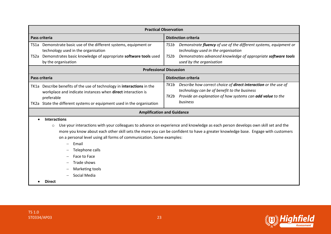| <b>Practical Observation</b>                                                                                                                                                                                                                                                                                                                                                                                                                                               |                                                                                                                                                                                                                              |  |
|----------------------------------------------------------------------------------------------------------------------------------------------------------------------------------------------------------------------------------------------------------------------------------------------------------------------------------------------------------------------------------------------------------------------------------------------------------------------------|------------------------------------------------------------------------------------------------------------------------------------------------------------------------------------------------------------------------------|--|
| Pass criteria                                                                                                                                                                                                                                                                                                                                                                                                                                                              | <b>Distinction criteria</b>                                                                                                                                                                                                  |  |
| TS1a Demonstrate basic use of the different systems, equipment or<br>technology used in the organisation<br>TS2a Demonstrates basic knowledge of appropriate software tools used<br>by the organisation                                                                                                                                                                                                                                                                    | Demonstrate <b>fluency</b> of use of the different systems, equipment or<br>TS1b<br>technology used in the organisation<br>Demonstrates advanced knowledge of appropriate software tools<br>TS2b<br>used by the organisation |  |
| <b>Professional Discussion</b>                                                                                                                                                                                                                                                                                                                                                                                                                                             |                                                                                                                                                                                                                              |  |
| Pass criteria                                                                                                                                                                                                                                                                                                                                                                                                                                                              | <b>Distinction criteria</b>                                                                                                                                                                                                  |  |
| TK1a Describe benefits of the use of technology in interactions in the<br>workplace and indicate instances when direct interaction is<br>preferable<br>TK2a State the different systems or equipment used in the organisation                                                                                                                                                                                                                                              | Describe how correct choice of <b>direct interaction</b> or the use of<br>TK1b<br>technology can be of benefit to the business<br>Provide an explanation of how systems can add value to the<br>TK2b<br>business             |  |
|                                                                                                                                                                                                                                                                                                                                                                                                                                                                            | <b>Amplification and Guidance</b>                                                                                                                                                                                            |  |
| <b>Interactions</b><br>Use your interactions with your colleagues to advance on experience and knowledge as each person develops own skill set and the<br>$\circ$<br>more you know about each other skill sets the more you can be confident to have a greater knowledge base. Engage with customers<br>on a personal level using all forms of communication. Some examples:<br>Email<br>Telephone calls<br>Face to Face<br>Trade shows<br>Marketing tools<br>Social Media |                                                                                                                                                                                                                              |  |

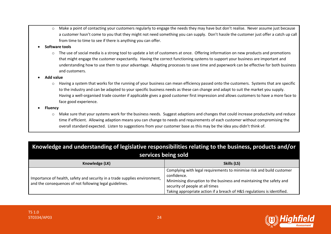o Make a point of contacting your customers regularly to engage the needs they may have but don't realise. Never assume just because a customer hasn't come to you that they might not need something you can supply. Don't hassle the customer just offer a catch up call from time to time to see if there is anything you can offer.

#### • **Software tools**

 $\circ$  The use of social media is a strong tool to update a lot of customers at once. Offering information on new products and promotions that might engage the customer expectantly. Having the correct functioning systems to support your business are important and understanding how to use them to your advantage. Adapting processes to save time and paperwork can be effective for both business and customers.

#### • **Add value**

 $\circ$  Having a system that works for the running of your business can mean efficiency passed onto the customers. Systems that are specific to the industry and can be adapted to your specific business needs as these can change and adapt to suit the market you supply. Having a well-organised trade counter if applicable gives a good customer first impression and allows customers to have a more face to face good experience.

#### • **Fluency**

o Make sure that your systems work for the business needs. Suggest adaptions and changes that could increase productivity and reduce time if efficient. Allowing adaption means you can change to needs and requirements of each customer without compromising the overall standard expected. Listen to suggestions from your customer base as this may be the idea you didn't think of.

| Knowledge and understanding of legislative responsibilities relating to the business, products and/or<br>services being sold          |                                                                                                                                                                                                                                                                            |
|---------------------------------------------------------------------------------------------------------------------------------------|----------------------------------------------------------------------------------------------------------------------------------------------------------------------------------------------------------------------------------------------------------------------------|
| Knowledge (LK)                                                                                                                        | Skills (LS)                                                                                                                                                                                                                                                                |
| Importance of health, safety and security in a trade supplies environment,<br>and the consequences of not following legal guidelines. | Complying with legal requirements to minimise risk and build customer<br>confidence.<br>Minimising disruption to the business and maintaining the safety and<br>security of people at all times<br>Taking appropriate action if a breach of H&S regulations is identified. |

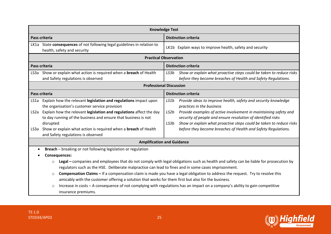| <b>Knowledge Test</b>             |                                                                                                                                                                                                                                                         |                                                                                                                                                                                                                         |  |
|-----------------------------------|---------------------------------------------------------------------------------------------------------------------------------------------------------------------------------------------------------------------------------------------------------|-------------------------------------------------------------------------------------------------------------------------------------------------------------------------------------------------------------------------|--|
|                                   | Pass criteria                                                                                                                                                                                                                                           | <b>Distinction criteria</b>                                                                                                                                                                                             |  |
|                                   | LK1a State consequences of not following legal guidelines in relation to<br>health, safety and security                                                                                                                                                 | LK1b Explain ways to improve health, safety and security                                                                                                                                                                |  |
|                                   |                                                                                                                                                                                                                                                         | <b>Practical Observation</b>                                                                                                                                                                                            |  |
|                                   | Pass criteria                                                                                                                                                                                                                                           | <b>Distinction criteria</b>                                                                                                                                                                                             |  |
| LS3a                              | Show or explain what action is required when a breach of Health<br>and Safety regulations is observed                                                                                                                                                   | Show or explain what proactive steps could be taken to reduce risks<br>LS3b<br>before they become breaches of Health and Safety Regulations.                                                                            |  |
|                                   | <b>Professional Discussion</b>                                                                                                                                                                                                                          |                                                                                                                                                                                                                         |  |
|                                   | Pass criteria                                                                                                                                                                                                                                           | <b>Distinction criteria</b>                                                                                                                                                                                             |  |
| LS1a                              | Explain how the relevant legislation and regulations impact upon<br>the organisation's customer service provision                                                                                                                                       | Provide ideas to improve health, safety and security knowledge<br>LS1b<br>practices in the business                                                                                                                     |  |
| LS <sub>2</sub> a                 | Explain how the relevant legislation and regulations affect the day<br>to day running of the business and ensure that business is not<br>disrupted                                                                                                      | Provide examples of active involvement in maintaining safety and<br>LS2b<br>security of people and ensure resolution of identified risks<br>Show or explain what proactive steps could be taken to reduce risks<br>LS3b |  |
| LS3a                              | Show or explain what action is required when a <b>breach</b> of Health<br>and Safety regulations is observed                                                                                                                                            | before they become breaches of Health and Safety Regulations.                                                                                                                                                           |  |
| <b>Amplification and Guidance</b> |                                                                                                                                                                                                                                                         |                                                                                                                                                                                                                         |  |
|                                   | Breach - breaking or not following legislation or regulation                                                                                                                                                                                            |                                                                                                                                                                                                                         |  |
| <b>Consequences:</b>              |                                                                                                                                                                                                                                                         |                                                                                                                                                                                                                         |  |
|                                   | Legal – companies and employees that do not comply with legal obligations such as health and safety can be liable for prosecution by<br>$\circ$<br>regulators such as the HSE. Deliberate malpractice can lead to fines and in some cases imprisonment. |                                                                                                                                                                                                                         |  |
|                                   | Compensation Claims - If a compensation claim is made you have a legal obligation to address the request. Try to resolve this<br>$\circ$<br>amicably with the customer offering a solution that works for them first but also for the business.         |                                                                                                                                                                                                                         |  |
|                                   | Increase in costs - A consequence of not complying with regulations has an impact on a company's ability to gain competitive<br>$\circ$<br>insurance premiums.                                                                                          |                                                                                                                                                                                                                         |  |

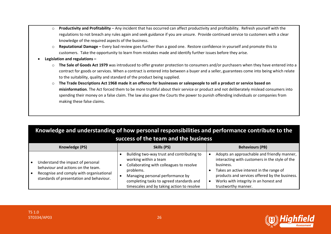- o **Productivity and Profitability**  Any incident that has occurred can affect productivity and profitability. Refresh yourself with the regulations to not breach any rules again and seek guidance if you are unsure. Provide continued service to customers with a clear knowledge of the required aspects of the business.
- o **Reputational Damage –** Every bad review goes further than a good one. Restore confidence in yourself and promote this to customers. Take the opportunity to learn from mistakes made and identify further issues before they arise.
- **Legislation and regulations –**
	- o **The Sale of Goods Act 1979** was introduced to offer greater protection to consumers and/or purchasers when they have entered into a contract for goods or services. When a contract is entered into between a buyer and a seller, guarantees come into being which relate to the suitability, quality and standard of the product being supplied.
	- o **The Trade Descriptions Act 1968 made it an offence for businesses or salespeople to sell a product or service based on misinformation**. The Act forced them to be more truthful about their service or product and not deliberately mislead consumers into spending their money on a false claim. The law also gave the Courts the power to punish offending individuals or companies from making these false claims.

| Knowledge and understanding of how personal responsibilities and performance contribute to the |              |               |
|------------------------------------------------------------------------------------------------|--------------|---------------|
| success of the team and the business                                                           |              |               |
| $U_{\text{max}}$ and a deal $\text{Inel}$                                                      | $C1:II2 IDC$ | nakadana (nn) |

| Knowledge (PS)                                                                                                                                                  | Skills (PS)                                                                                                                                                                                                                                                | <b>Behaviours (PB)</b>                                                                                                                                                                                                                                                   |
|-----------------------------------------------------------------------------------------------------------------------------------------------------------------|------------------------------------------------------------------------------------------------------------------------------------------------------------------------------------------------------------------------------------------------------------|--------------------------------------------------------------------------------------------------------------------------------------------------------------------------------------------------------------------------------------------------------------------------|
| Understand the impact of personal<br>behaviour and actions on the team.<br>Recognise and comply with organisational<br>standards of presentation and behaviour. | Building two-way trust and contributing to<br>working within a team<br>Collaborating with colleagues to resolve<br>problems.<br>Managing personal performance by<br>completing tasks to agreed standards and<br>timescales and by taking action to resolve | Adopts an approachable and friendly manner,<br>interacting with customers in the style of the<br>business.<br>Takes an active interest in the range of<br>products and services offered by the business.<br>Works with integrity in an honest and<br>trustworthy manner. |



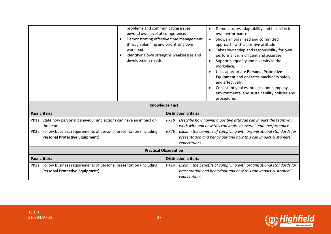| problems and communicating issues<br>beyond own level of competence.<br>through planning and prioritising own<br>workload.<br>development needs. | Demonstrates adaptability and flexibility in<br>own performance.<br>Demonstrating effective time management<br>Shows an organised and committed<br>$\bullet$<br>approach, with a positive attitude<br>Takes ownership and responsibility for own<br>$\bullet$<br>Identifying own strengths weaknesses and<br>performance, is diligent and accurate<br>Supports equality and diversity in the<br>$\bullet$<br>workplace.<br>Uses appropriate Personal Protective<br>Equipment and operates machinery safely<br>and effectively.<br>Consistently takes into account company<br>$\bullet$<br>environmental and sustainability policies and<br>procedures<br><b>Knowledge Test</b> |  |
|--------------------------------------------------------------------------------------------------------------------------------------------------|--------------------------------------------------------------------------------------------------------------------------------------------------------------------------------------------------------------------------------------------------------------------------------------------------------------------------------------------------------------------------------------------------------------------------------------------------------------------------------------------------------------------------------------------------------------------------------------------------------------------------------------------------------------------------------|--|
|                                                                                                                                                  |                                                                                                                                                                                                                                                                                                                                                                                                                                                                                                                                                                                                                                                                                |  |
| Pass criteria                                                                                                                                    | <b>Distinction criteria</b>                                                                                                                                                                                                                                                                                                                                                                                                                                                                                                                                                                                                                                                    |  |
| PK1a State how personal behaviour and actions can have an impact on                                                                              | Describe how having a positive attitude can impact the team you<br>PK1b                                                                                                                                                                                                                                                                                                                                                                                                                                                                                                                                                                                                        |  |
| the team                                                                                                                                         | work with and how this can improve overall team performance                                                                                                                                                                                                                                                                                                                                                                                                                                                                                                                                                                                                                    |  |
| PK2a Follow business requirements of personal presentation (including<br><b>Personal Protective Equipment)</b>                                   | Explain the benefits of complying with organisational standards for<br>PK2b                                                                                                                                                                                                                                                                                                                                                                                                                                                                                                                                                                                                    |  |
|                                                                                                                                                  | presentation and behaviour and how this can impact customers'<br>expectations                                                                                                                                                                                                                                                                                                                                                                                                                                                                                                                                                                                                  |  |
| <b>Practical Observation</b>                                                                                                                     |                                                                                                                                                                                                                                                                                                                                                                                                                                                                                                                                                                                                                                                                                |  |
| Pass criteria                                                                                                                                    | <b>Distinction criteria</b>                                                                                                                                                                                                                                                                                                                                                                                                                                                                                                                                                                                                                                                    |  |
| PK2a Follow business requirements of personal presentation (including                                                                            | PK2b Explain the benefits of complying with organisational standards for                                                                                                                                                                                                                                                                                                                                                                                                                                                                                                                                                                                                       |  |
| <b>Personal Protective Equipment)</b>                                                                                                            | presentation and behaviour and how this can impact customers'                                                                                                                                                                                                                                                                                                                                                                                                                                                                                                                                                                                                                  |  |
|                                                                                                                                                  | expectations                                                                                                                                                                                                                                                                                                                                                                                                                                                                                                                                                                                                                                                                   |  |

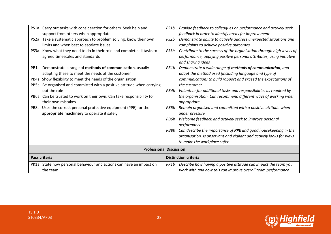|      | PS1a Carry out tasks with consideration for others. Seek help and     | PS1b | Provide feedback to colleagues on performance and actively seek      |
|------|-----------------------------------------------------------------------|------|----------------------------------------------------------------------|
|      | support from others when appropriate                                  |      | feedback in order to identify areas for improvement                  |
| PS2a | Take a systematic approach to problem solving, know their own         | PS2b | Demonstrate ability to actively address unexpected situations and    |
|      | limits and when best to escalate issues                               |      | complaints to achieve positive outcomes                              |
| PS3a | Know what they need to do in their role and complete all tasks to     | PS3b | Contribute to the success of the organisation through high-levels of |
|      | agreed timescales and standards                                       |      | performance, applying positive personal attributes, using initiative |
|      |                                                                       |      | and sharing ideas                                                    |
|      | PB1a Demonstrate a range of methods of communication, usually         | PB1b | Demonstrate a wide range of methods of communication, and            |
|      | adapting these to meet the needs of the customer                      |      | adapt the method used (including language and type of                |
|      | PB4a Show flexibility to meet the needs of the organisation           |      | communication) to build rapport and exceed the expectations of       |
| PB5a | Be organised and committed with a positive attitude when carrying     |      | the customer                                                         |
|      | out the role                                                          | PB4b | Volunteer for additional tasks and responsibilities as required by   |
|      | PB6a Can be trusted to work on their own. Can take responsibility for |      | the organisation. Can recommend different ways of working when       |
|      | their own mistakes                                                    |      | appropriate                                                          |
|      | PB8a Uses the correct personal protective equipment (PPE) for the     | PB5b | Remain organised and committed with a positive attitude when         |
|      | appropriate machinery to operate it safely                            |      | under pressure                                                       |
|      |                                                                       | PB6b | Welcome feedback and actively seek to improve personal               |
|      |                                                                       |      | performance                                                          |
|      |                                                                       | PB8b | Can describe the importance of PPE and good housekeeping in the      |
|      |                                                                       |      | organisation. Is observant and vigilant and actively looks for ways  |
|      |                                                                       |      | to make the workplace safer                                          |
|      | <b>Professional Discussion</b>                                        |      |                                                                      |
|      | Pass criteria                                                         |      | <b>Distinction criteria</b>                                          |
|      | PK1a State how personal behaviour and actions can have an impact on   | PK1b | Describe how having a positive attitude can impact the team you      |
|      | the team                                                              |      | work with and how this can improve overall team performance          |

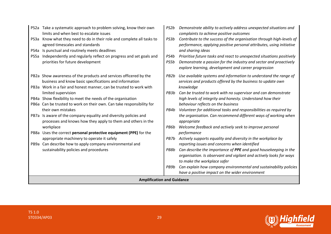| PS3a<br>PS4a<br>PS5a              | PS2a Take a systematic approach to problem solving, know their own<br>limits and when best to escalate issues<br>Know what they need to do in their role and complete all tasks to<br>agreed timescales and standards<br>Is punctual and routinely meets deadlines<br>Independently and regularly reflect on progress and set goals and<br>priorities for future development | PS2b<br>PS3b<br>PS4b<br>PS5b | Demonstrate ability to actively address unexpected situations and<br>complaints to achieve positive outcomes<br>Contribute to the success of the organisation through high-levels of<br>performance, applying positive personal attributes, using initiative<br>and sharing ideas<br>Prioritise future tasks and react to unexpected situations positively<br>Demonstrate a passion for the industry and sector and proactively<br>explore learning, development and career progression |
|-----------------------------------|------------------------------------------------------------------------------------------------------------------------------------------------------------------------------------------------------------------------------------------------------------------------------------------------------------------------------------------------------------------------------|------------------------------|-----------------------------------------------------------------------------------------------------------------------------------------------------------------------------------------------------------------------------------------------------------------------------------------------------------------------------------------------------------------------------------------------------------------------------------------------------------------------------------------|
|                                   | PB2a Show awareness of the products and services officered by the<br>business and know basic specifications and information<br>PB3a Work in a fair and honest manner, can be trusted to work with                                                                                                                                                                            | PB2b                         | Use available systems and information to understand the range of<br>services and products offered by the business to update own<br>knowledge                                                                                                                                                                                                                                                                                                                                            |
|                                   | limited supervision                                                                                                                                                                                                                                                                                                                                                          | PB3b                         | Can be trusted to work with no supervisor and can demonstrate                                                                                                                                                                                                                                                                                                                                                                                                                           |
|                                   | PB4a Show flexibility to meet the needs of the organisation                                                                                                                                                                                                                                                                                                                  |                              | high levels of integrity and honesty. Understand how their                                                                                                                                                                                                                                                                                                                                                                                                                              |
|                                   | PB6a Can be trusted to work on their own. Can take responsibility for                                                                                                                                                                                                                                                                                                        |                              | behaviour reflects on the business                                                                                                                                                                                                                                                                                                                                                                                                                                                      |
|                                   | their own mistakes                                                                                                                                                                                                                                                                                                                                                           | PB4b                         | Volunteer for additional tasks and responsibilities as required by                                                                                                                                                                                                                                                                                                                                                                                                                      |
|                                   | PB7a Is aware of the company equality and diversity policies and<br>processes and knows how they apply to them and others in the                                                                                                                                                                                                                                             |                              | the organisation. Can recommend different ways of working when<br>appropriate                                                                                                                                                                                                                                                                                                                                                                                                           |
|                                   | workplace                                                                                                                                                                                                                                                                                                                                                                    | PB6b                         | Welcome feedback and actively seek to improve personal                                                                                                                                                                                                                                                                                                                                                                                                                                  |
|                                   | PB8a Uses the correct personal protective equipment (PPE) for the                                                                                                                                                                                                                                                                                                            |                              | performance                                                                                                                                                                                                                                                                                                                                                                                                                                                                             |
|                                   | appropriate machinery to operate it safely                                                                                                                                                                                                                                                                                                                                   | PB7b                         | Actively supports equality and diversity in the workplace by                                                                                                                                                                                                                                                                                                                                                                                                                            |
|                                   | PB9a Can describe how to apply company environmental and<br>sustainability policies and procedures                                                                                                                                                                                                                                                                           | PB8b                         | reporting issues and concerns when identified<br>Can describe the importance of PPE and good housekeeping in the                                                                                                                                                                                                                                                                                                                                                                        |
|                                   |                                                                                                                                                                                                                                                                                                                                                                              |                              | organisation. Is observant and vigilant and actively looks for ways                                                                                                                                                                                                                                                                                                                                                                                                                     |
|                                   |                                                                                                                                                                                                                                                                                                                                                                              | PB9b                         | to make the workplace safer                                                                                                                                                                                                                                                                                                                                                                                                                                                             |
|                                   |                                                                                                                                                                                                                                                                                                                                                                              |                              | Can explain how company environmental and sustainability policies<br>have a positive impact on the wider environment                                                                                                                                                                                                                                                                                                                                                                    |
| <b>Amplification and Guidance</b> |                                                                                                                                                                                                                                                                                                                                                                              |                              |                                                                                                                                                                                                                                                                                                                                                                                                                                                                                         |
|                                   |                                                                                                                                                                                                                                                                                                                                                                              |                              |                                                                                                                                                                                                                                                                                                                                                                                                                                                                                         |



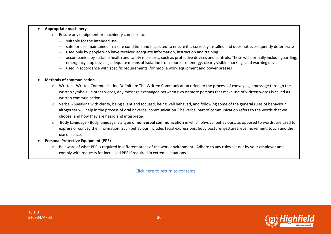#### • **Appropriate machinery**

- o Ensure any equipment or machinery complies to:
	- − suitable for the intended use
	- safe for use, maintained in a safe condition and inspected to ensure it is correctly installed and does not subsequently deteriorate
	- used only by people who have received adequate information, instruction and training
	- accompanied by suitable health and safety measures, such as protective devices and controls. These will normally include guarding, emergency stop devices, adequate means of isolation from sources of energy, clearly visible markings and warning devices
	- used in accordance with specific requirements, for mobile work equipment and power presses

#### • **Methods of communication**

- o Written Written Communication Definition: The Written Communication refers to the process of conveying a message through the written symbols. In other words, any message exchanged between two or more persons that make use of written words is called as written communication.
- $\circ$  Verbal Speaking with clarity, being silent and focused, being well behaved, and following some of the general rules of behaviour altogether will help in the process of oral or verbal communication. The verbal part of communication refers to the words that we choose, and how they are heard and interpreted.
- o Body Language Body language is a type of **nonverbal communication** in which physical behaviours, as opposed to words, are used to express or convey the information. Such behaviour includes facial expressions, body posture, gestures, eye movement, touch and the use of space.
- **Personal Protective Equipment (PPE)**
	- $\circ$  Be aware of what PPE is required in different areas of the work environment. Adhere to any rules set out by your employer and comply with requests for increased PPE if required in extreme situations.

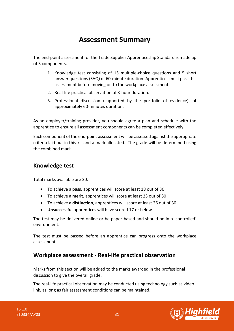## **Assessment Summary**

<span id="page-30-0"></span>The end-point assessment for the Trade Supplier Apprenticeship Standard is made up of 3 components.

- 1. Knowledge test consisting of 15 multiple-choice questions and 5 short answer questions (SAQ) of 60-minute duration. Apprentices must pass this assessment before moving on to the workplace assessments.
- 2. Real-life practical observation of 3-hour duration.
- 3. Professional discussion (supported by the portfolio of evidence), of approximately 60-minutes duration.

As an employer/training provider, you should agree a plan and schedule with the apprentice to ensure all assessment components can be completed effectively.

Each component of the end-point assessment will be assessed against the appropriate criteria laid out in this kit and a mark allocated. The grade will be determined using the combined mark.

#### **Knowledge test**

Total marks available are 30.

- To achieve a **pass**, apprentices will score at least 18 out of 30
- To achieve a **merit**, apprentices will score at least 23 out of 30
- To achieve a **distinction**, apprentices will score at least 26 out of 30
- **Unsuccessful** apprentices will have scored 17 or below

The test may be delivered online or be paper-based and should be in a 'controlled' environment.

The test must be passed before an apprentice can progress onto the workplace assessments.

### **Workplace assessment - Real-life practical observation**

Marks from this section will be added to the marks awarded in the professional discussion to give the overall grade.

The real-life practical observation may be conducted using technology such as video link, as long as fair assessment conditions can be maintained.

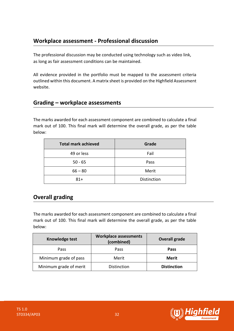## **Workplace assessment - Professional discussion**

The professional discussion may be conducted using technology such as video link, as long as fair assessment conditions can be maintained.

All evidence provided in the portfolio must be mapped to the assessment criteria outlined within this document. A matrix sheet is provided on the Highfield Assessment website.

### **Grading – workplace assessments**

The marks awarded for each assessment component are combined to calculate a final mark out of 100. This final mark will determine the overall grade, as per the table below:

| <b>Total mark achieved</b> | Grade       |
|----------------------------|-------------|
| 49 or less                 | Fail        |
| $50 - 65$                  | Pass        |
| $66 - 80$                  | Merit       |
| $81+$                      | Distinction |

## **Overall grading**

The marks awarded for each assessment component are combined to calculate a final mark out of 100. This final mark will determine the overall grade, as per the table below:

| Knowledge test         | Workplace assessments<br>(combined) | <b>Overall grade</b> |
|------------------------|-------------------------------------|----------------------|
| Pass                   | <b>Pass</b>                         | <b>Pass</b>          |
| Minimum grade of pass  | Merit                               | Merit                |
| Minimum grade of merit | Distinction                         | <b>Distinction</b>   |



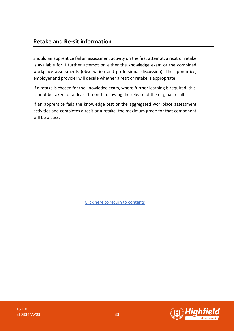Should an apprentice fail an assessment activity on the first attempt, a resit or retake is available for 1 further attempt on either the knowledge exam or the combined workplace assessments (observation and professional discussion). The apprentice, employer and provider will decide whether a resit or retake is appropriate.

If a retake is chosen for the knowledge exam, where further learning is required, this cannot be taken for at least 1 month following the release of the original result.

If an apprentice fails the knowledge test or the aggregated workplace assessment activities and completes a resit or a retake, the maximum grade for that component will be a pass.

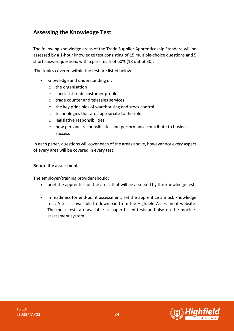### <span id="page-33-0"></span>**Assessing the Knowledge Test**

The following knowledge areas of the Trade Supplier Apprenticeship Standard will be assessed by a 1-hour knowledge test consisting of 15 multiple-choice questions and 5 short answer questions with a pass mark of 60% (18 out of 30).

The topics covered within the test are listed below:

- Knowledge and understanding of:
	- o the organisation
	- o specialist trade customer profile
	- o trade counter and telesales services
	- o the key principles of warehousing and stock control
	- o technologies that are appropriate to the role
	- o legislative responsibilities
	- o how personal responsibilities and performance contribute to business success

In each paper, questions will cover each of the areas above, however not every aspect of every area will be covered in every test.

#### **Before the assessment**

The employer/training provider should:

- brief the apprentice on the areas that will be assessed by the knowledge test.
- in readiness for end-point assessment, set the apprentice a mock knowledge test. A test is available to download from the Highfield Assessment website. The mock tests are available as paper-based tests and also on the mock eassessment system.

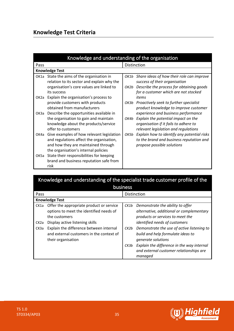## **Knowledge Test Criteria**

|                   | Knowledge and understanding of the organisation                                                                                                                      |      |                                                                                                                                                                     |
|-------------------|----------------------------------------------------------------------------------------------------------------------------------------------------------------------|------|---------------------------------------------------------------------------------------------------------------------------------------------------------------------|
| Pass              |                                                                                                                                                                      |      | Distinction                                                                                                                                                         |
|                   | <b>Knowledge Test</b>                                                                                                                                                |      |                                                                                                                                                                     |
| OK1a              | State the aims of the organisation in<br>relation to its sector and explain why the<br>organisation's core values are linked to<br>its success                       | OK2b | OK1b Share ideas of how their role can improve<br>success of their organisation<br>Describe the process for obtaining goods<br>for a customer which are not stocked |
| OK <sub>2</sub> a | Explain the organisation's process to<br>provide customers with products<br>obtained from manufacturers                                                              |      | items<br>OK3b Proactively seek to further specialist<br>product knowledge to improve customer                                                                       |
| ОКЗа              | Describe the opportunities available in<br>the organisation to gain and maintain<br>knowledge about the products/service<br>offer to customers                       | OK4b | experience and business performance<br>Explain the potential impact on the<br>organisation if it fails to adhere to<br>relevant legislation and regulations         |
| OK4a              | Give examples of how relevant legislation<br>and regulations affect the organisation,<br>and how they are maintained through<br>the organisation's internal policies | OK5b | Explain how to identify any potential risks<br>to the brand and business reputation and<br>propose possible solutions                                               |
| OK <sub>5a</sub>  | State their responsibilities for keeping<br>brand and business reputation safe from<br>risk                                                                          |      |                                                                                                                                                                     |

| Knowledge and understanding of the specialist trade customer profile of the |             |
|-----------------------------------------------------------------------------|-------------|
| <b>business</b>                                                             |             |
| Pass                                                                        | Distinction |

|                   | <b>Knowledge Test</b>                    |      |                                            |  |  |
|-------------------|------------------------------------------|------|--------------------------------------------|--|--|
| CK1a              | Offer the appropriate product or service | CK1b | Demonstrate the ability to offer           |  |  |
|                   | options to meet the identified needs of  |      | alternative, additional or complementary   |  |  |
|                   | the customers                            |      | products or services to meet the           |  |  |
| CK <sub>2</sub> a | Display active listening skills          |      | identified needs of customers              |  |  |
| CK3a              | Explain the difference between internal  | CK2b | Demonstrate the use of active listening to |  |  |
|                   | and external customers in the context of |      | build and help formulate ideas to          |  |  |
|                   | their organisation                       |      | generate solutions                         |  |  |
|                   |                                          | CK3b | Explain the difference in the way internal |  |  |
|                   |                                          |      | and external customer relationships are    |  |  |
|                   |                                          |      | managed                                    |  |  |



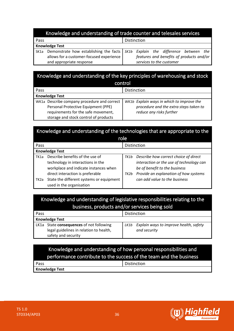#### Knowledge and understanding of trade counter and telesales services

| Pass |                                                                                   | Distinction |                                          |     |
|------|-----------------------------------------------------------------------------------|-------------|------------------------------------------|-----|
|      | <b>Knowledge Test</b>                                                             |             |                                          |     |
|      | SK1a Demonstrate how establishing the facts   SK1b Explain the difference between |             |                                          | the |
|      | allows for a customer-focused experience                                          |             | features and benefits of products and/or |     |
|      | and appropriate response                                                          |             | services to the customer                 |     |

## Knowledge and understanding of the key principles of warehousing and stock

| control                                     |                                           |  |  |
|---------------------------------------------|-------------------------------------------|--|--|
| Pass                                        | Distinction                               |  |  |
| <b>Knowledge Test</b>                       |                                           |  |  |
| WK1a Describe company procedure and correct | WK1b Explain ways in which to improve the |  |  |
| Personal Protective Equipment (PPE)         | procedure and the extra steps taken to    |  |  |
| requirements for the safe movement,         | reduce any risks further                  |  |  |
| storage and stock control of products       |                                           |  |  |

## Knowledge and understanding of the technologies that are appropriate to the

|                   |                                                                                                                                                   | role         |                                                                                                                                                             |
|-------------------|---------------------------------------------------------------------------------------------------------------------------------------------------|--------------|-------------------------------------------------------------------------------------------------------------------------------------------------------------|
| Pass              |                                                                                                                                                   |              | Distinction                                                                                                                                                 |
|                   | <b>Knowledge Test</b>                                                                                                                             |              |                                                                                                                                                             |
| TK1a              | Describe benefits of the use of<br>technology in interactions in the<br>workplace and indicate instances when<br>direct interaction is preferable | TK1b<br>TK2b | Describe how correct choice of direct<br>interaction or the use of technology can<br>be of benefit to the business<br>Provide an explanation of how systems |
| TK <sub>2</sub> a | State the different systems or equipment<br>used in the organisation                                                                              |              | can add value to the business                                                                                                                               |

### Knowledge and understanding of legislative responsibilities relating to the business, products and/or services being sold

| Pass |                                          | Distinction                                    |  |
|------|------------------------------------------|------------------------------------------------|--|
|      | <b>Knowledge Test</b>                    |                                                |  |
|      | LK1a State consequences of not following | Explain ways to improve health, safety<br>LK1b |  |
|      | legal guidelines in relation to health,  | and security                                   |  |
|      | safety and security                      |                                                |  |

### Knowledge and understanding of how personal responsibilities and performance contribute to the success of the team and the business

| Pass                  | Distinction |
|-----------------------|-------------|
| <b>Knowledge Test</b> |             |

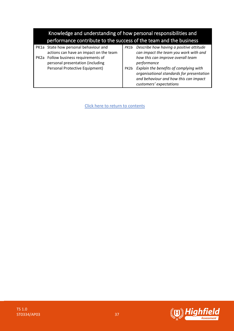| Knowledge and understanding of how personal responsibilities and<br>performance contribute to the success of the team and the business |      |                                                                                                                                                         |
|----------------------------------------------------------------------------------------------------------------------------------------|------|---------------------------------------------------------------------------------------------------------------------------------------------------------|
| PK1a State how personal behaviour and<br>actions can have an impact on the team                                                        | PK1b | Describe how having a positive attitude<br>can impact the team you work with and                                                                        |
| PK2a Follow business requirements of<br>personal presentation (including                                                               |      | how this can improve overall team<br>performance                                                                                                        |
| Personal Protective Equipment)                                                                                                         | PK2b | Explain the benefits of complying with<br>organisational standards for presentation<br>and behaviour and how this can impact<br>customers' expectations |

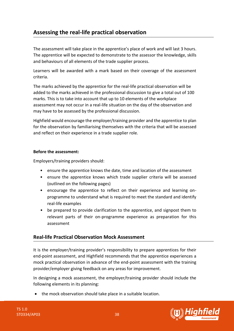## <span id="page-37-0"></span>**Assessing the real-life practical observation**

The assessment will take place in the apprentice's place of work and will last 3 hours. The apprentice will be expected to demonstrate to the assessor the knowledge, skills and behaviours of all elements of the trade supplier process.

Learners will be awarded with a mark based on their coverage of the assessment criteria.

The marks achieved by the apprentice for the real-life practical observation will be added to the marks achieved in the professional discussion to give a total out of 100 marks. This is to take into account that up to 10 elements of the workplace assessment may not occur in a real-life situation on the day of the observation and may have to be assessed by the professional discussion.

Highfield would encourage the employer/training provider and the apprentice to plan for the observation by familiarising themselves with the criteria that will be assessed and reflect on their experience in a trade supplier role.

#### **Before the assessment:**

Employers/training providers should:

- ensure the apprentice knows the date, time and location of the assessment
- ensure the apprentice knows which trade supplier criteria will be assessed (outlined on the following pages)
- encourage the apprentice to reflect on their experience and learning onprogramme to understand what is required to meet the standard and identify real-life examples
- be prepared to provide clarification to the apprentice, and signpost them to relevant parts of their on-programme experience as preparation for this assessment

#### **Real-life Practical Observation Mock Assessment**

It is the employer/training provider's responsibility to prepare apprentices for their end-point assessment, and Highfield recommends that the apprentice experiences a mock practical observation in advance of the end-point assessment with the training provider/employer giving feedback on any areas for improvement.

In designing a mock assessment, the employer/training provider should include the following elements in its planning:

• the mock observation should take place in a suitable location.

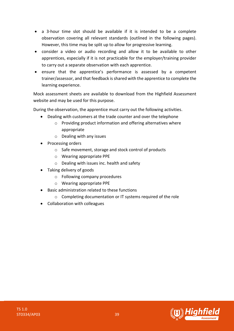- a 3-hour time slot should be available if it is intended to be a complete observation covering all relevant standards (outlined in the following pages). However, this time may be split up to allow for progressive learning.
- consider a video or audio recording and allow it to be available to other apprentices, especially if it is not practicable for the employer/training provider to carry out a separate observation with each apprentice.
- ensure that the apprentice's performance is assessed by a competent trainer/assessor, and that feedback is shared with the apprentice to complete the learning experience.

Mock assessment sheets are available to download from the Highfield Assessment website and may be used for this purpose.

During the observation, the apprentice must carry out the following activities.

- Dealing with customers at the trade counter and over the telephone
	- o Providing product information and offering alternatives where appropriate
	- o Dealing with any issues
- Processing orders
	- o Safe movement, storage and stock control of products
	- o Wearing appropriate PPE
	- o Dealing with issues inc. health and safety
- Taking delivery of goods
	- o Following company procedures
	- o Wearing appropriate PPE
- Basic administration related to these functions
	- o Completing documentation or IT systems required of the role
- Collaboration with colleagues

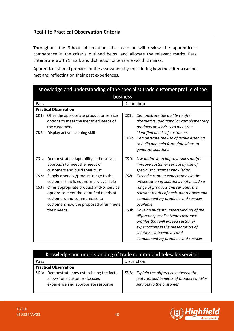#### **Real-life Practical Observation Criteria**

Throughout the 3-hour observation, the assessor will review the apprentice's competence in the criteria outlined below and allocate the relevant marks. Pass criteria are worth 1 mark and distinction criteria are worth 2 marks.

Apprentices should prepare for the assessment by considering how the criteria can be met and reflecting on their past experiences.

|                                        | Knowledge and understanding of the specialist trade customer profile of the<br>business                                                                                                                                                           |                  |                                                                                                                                                                                                                                                                      |  |
|----------------------------------------|---------------------------------------------------------------------------------------------------------------------------------------------------------------------------------------------------------------------------------------------------|------------------|----------------------------------------------------------------------------------------------------------------------------------------------------------------------------------------------------------------------------------------------------------------------|--|
| Pass                                   |                                                                                                                                                                                                                                                   |                  | Distinction                                                                                                                                                                                                                                                          |  |
|                                        | <b>Practical Observation</b>                                                                                                                                                                                                                      |                  |                                                                                                                                                                                                                                                                      |  |
| CK <sub>2</sub> a                      | CK1a Offer the appropriate product or service<br>options to meet the identified needs of<br>the customers<br>Display active listening skills                                                                                                      |                  | CK1b Demonstrate the ability to offer<br>alternative, additional or complementary<br>products or services to meet the<br>identified needs of customers<br>CK2b Demonstrate the use of active listening<br>to build and help formulate ideas to<br>generate solutions |  |
| CS1a                                   | Demonstrate adaptability in the service<br>approach to meet the needs of<br>customers and build their trust                                                                                                                                       | CS1b             | Use initiative to improve sales and/or<br>improve customer service by use of<br>specialist customer knowledge                                                                                                                                                        |  |
| CS <sub>2</sub> a<br>CS <sub>3</sub> a | Supply a service/product range to the<br>customer that is not normally available<br>Offer appropriate product and/or service<br>options to meet the identified needs of<br>customers and communicate to<br>customers how the proposed offer meets | CS2b             | Exceed customer expectations in the<br>presentation of solutions that include a<br>range of products and services, the<br>relevant merits of each, alternatives and<br>complementary products and services<br>available                                              |  |
|                                        | their needs.                                                                                                                                                                                                                                      | CS3 <sub>b</sub> | Have an in-depth understanding of the<br>different specialist trade customer<br>profiles that will exceed customer<br>expectations in the presentation of<br>solutions, alternatives and<br>complementary products and services                                      |  |

|      | Knowledge and understanding of trade counter and telesales services                                                 |                                                                                                                 |  |  |
|------|---------------------------------------------------------------------------------------------------------------------|-----------------------------------------------------------------------------------------------------------------|--|--|
| Pass | Distinction                                                                                                         |                                                                                                                 |  |  |
|      | <b>Practical Observation</b>                                                                                        |                                                                                                                 |  |  |
|      | SK1a Demonstrate how establishing the facts<br>allows for a customer-focused<br>experience and appropriate response | SK1b Explain the difference between the<br>features and benefits of products and/or<br>services to the customer |  |  |



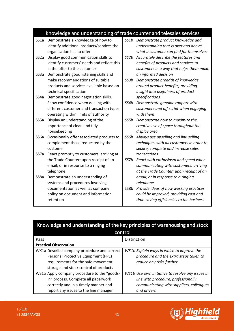#### Knowledge and understanding of trade counter and telesales services

- SS1a Demonstrate a knowledge of how to identify additional products/services the organisation has to offer
- SS2a Display good communication skills to identify customers' needs and reflect this in the offer to the customer
- SS3a Demonstrate good listening skills and make recommendations of suitable products and services available based on technical specification
- SS4a Demonstrate good negotiation skills. Show confidence when dealing with different customer and transaction types operating within limits of authority
- SS5a Display an understanding of the importance of clean and tidy housekeeping
- SS6a Occasionally offer associated products to complement those requested by the customer
- SS7a React promptly to customers: arriving at the Trade Counter; upon receipt of an email; or in response to a ringing telephone.
- SS8a Demonstrate an understanding of systems and procedures involving documentation as well as company policy on document and information retention
- *SS1b Demonstrate product knowledge and understanding that is over and above what a customer can find for themselves*
- *SS2b Accurately describe the features and benefits of products and services to customers in a way that helps them make an informed decision*
- *SS3b Demonstrate breadth of knowledge around product benefits, providing insight into usefulness of product specifications*
- *SS4b Demonstrate genuine rapport with customers and off script when engaging with them*
- *SS5b Demonstrate how to maximize the creative use of space throughout the display area*
- *SS6b Always use upselling and link selling techniques with all customers in order to secure, complete and increase sales transactions*
- *SS7b React with enthusiasm and speed when communicating with customers: arriving at the Trade Counter; upon receipt of an email; or in response to a ringing telephone*
- SS8b *Provide ideas of how working practices could be improved, providing cost and time-saving efficiencies to the business*

| Knowledge and understanding of the key principles of warehousing and stock |                                                  |  |  |  |
|----------------------------------------------------------------------------|--------------------------------------------------|--|--|--|
| control                                                                    |                                                  |  |  |  |
| Pass                                                                       | Distinction                                      |  |  |  |
| <b>Practical Observation</b>                                               |                                                  |  |  |  |
| WK1a Describe company procedure and correct                                | WK1b Explain ways in which to improve the        |  |  |  |
| Personal Protective Equipment (PPE)                                        | procedure and the extra steps taken to           |  |  |  |
| requirements for the safe movement,                                        | reduce any risks further                         |  |  |  |
| storage and stock control of products                                      |                                                  |  |  |  |
| WS1a Apply company procedure to the "goods-                                | WS1b Use own initiative to resolve any issues in |  |  |  |
| in" process. Complete all paperwork                                        | line with procedure, professionally              |  |  |  |
| correctly and in a timely manner and                                       | communicating with suppliers, colleagues         |  |  |  |
| report any issues to the line manager                                      | and drivers                                      |  |  |  |



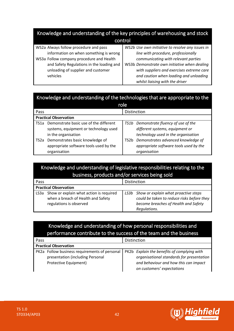| Knowledge and understanding of the key principles of warehousing and stock |                                                  |  |
|----------------------------------------------------------------------------|--------------------------------------------------|--|
| control                                                                    |                                                  |  |
| WS2a Always follow procedure and pass                                      | WS2b Use own initiative to resolve any issues in |  |
| information on when something is wrong                                     | line with procedure, professionally              |  |
| WS3a Follow company procedure and Health                                   | communicating with relevant parties              |  |
| and Safety Regulations in the loading and                                  | WS3b Demonstrate own initiative when dealing     |  |
| unloading of supplier and customer                                         | with suppliers and exercises extreme care        |  |
| vehicles                                                                   | and caution when loading and unloading           |  |
|                                                                            | whilst liaising with the driver                  |  |

## Knowledge and understanding of the technologies that are appropriate to the

|                              | role                                                                                                   |      |                                                                                                                  |  |  |  |
|------------------------------|--------------------------------------------------------------------------------------------------------|------|------------------------------------------------------------------------------------------------------------------|--|--|--|
| Pass                         |                                                                                                        |      | Distinction                                                                                                      |  |  |  |
| <b>Practical Observation</b> |                                                                                                        |      |                                                                                                                  |  |  |  |
| TS1a                         | Demonstrate basic use of the different<br>systems, equipment or technology used<br>in the organisation |      | TS1b Demonstrate fluency of use of the<br>different systems, equipment or<br>technology used in the organisation |  |  |  |
| TS2a                         | Demonstrates basic knowledge of<br>appropriate software tools used by the<br>organisation              | TS2b | Demonstrates advanced knowledge of<br>appropriate software tools used by the<br>organisation                     |  |  |  |

|                              | Knowledge and understanding of legislative responsibilities relating to the<br>business, products and/or services being sold |  |                                                                                                                                                 |  |
|------------------------------|------------------------------------------------------------------------------------------------------------------------------|--|-------------------------------------------------------------------------------------------------------------------------------------------------|--|
| Distinction<br>Pass          |                                                                                                                              |  |                                                                                                                                                 |  |
| <b>Practical Observation</b> |                                                                                                                              |  |                                                                                                                                                 |  |
|                              | LS3a Show or explain what action is required<br>when a breach of Health and Safety<br>regulations is observed                |  | LS3b Show or explain what proactive steps<br>could be taken to reduce risks before they<br>become breaches of Health and Safety<br>Regulations. |  |

## Knowledge and understanding of how personal responsibilities and performance contribute to the success of the team and the business

| Pass |                                               | Distinction                                 |
|------|-----------------------------------------------|---------------------------------------------|
|      | <b>Practical Observation</b>                  |                                             |
|      | PK2a Follow business requirements of personal | PK2b Explain the benefits of complying with |
|      | presentation (including Personal              | organisational standards for presentation   |
|      | Protective Equipment)                         | and behaviour and how this can impact       |
|      |                                               | on customers' expectations                  |



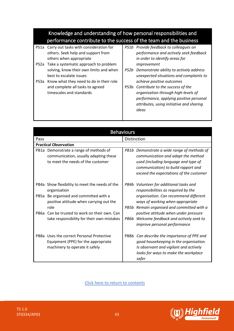## Knowledge and understanding of how personal responsibilities and performance contribute to the success of the team and the business

- PS1a Carry out tasks with consideration for others. Seek help and support from others when appropriate
- PS2a Take a systematic approach to problem solving, know their own limits and when best to escalate issues
- PS3a Know what they need to do in their role and complete all tasks to agreed timescales and standards
- *PS1b Provide feedback to colleagues on performance and actively seek feedback in order to identify areas for improvement*
- *PS2b Demonstrate ability to actively address unexpected situations and complaints to achieve positive outcomes*
- PS3b *Contribute to the success of the organisation through high-levels of performance, applying positive personal attributes, using initiative and sharing ideas*

| <b>Behaviours</b> |                                                                                                                      |             |                                                                                                                                                                                                        |  |
|-------------------|----------------------------------------------------------------------------------------------------------------------|-------------|--------------------------------------------------------------------------------------------------------------------------------------------------------------------------------------------------------|--|
|                   |                                                                                                                      |             |                                                                                                                                                                                                        |  |
| Pass              |                                                                                                                      | Distinction |                                                                                                                                                                                                        |  |
|                   | <b>Practical Observation</b>                                                                                         |             |                                                                                                                                                                                                        |  |
|                   | PB1a Demonstrate a range of methods of<br>communication, usually adapting these<br>to meet the needs of the customer | PB1b        | Demonstrate a wide range of methods of<br>communication and adapt the method<br>used (including language and type of<br>communication) to build rapport and<br>exceed the expectations of the customer |  |
|                   | PB4a Show flexibility to meet the needs of the<br>organisation                                                       |             | PB4b Volunteer for additional tasks and<br>responsibilities as required by the                                                                                                                         |  |
| PB5a              | Be organised and committed with a<br>positive attitude when carrying out the<br>role                                 | PB5b        | organisation. Can recommend different<br>ways of working when appropriate<br>Remain organised and committed with a                                                                                     |  |
| PB6a              | Can be trusted to work on their own. Can<br>take responsibility for their own mistakes                               | PB6b        | positive attitude when under pressure<br>Welcome feedback and actively seek to<br>improve personal performance                                                                                         |  |
| PB8a              | Uses the correct Personal Protective<br>Equipment (PPE) for the appropriate<br>machinery to operate it safely        | PB8b        | Can describe the importance of PPE and<br>good housekeeping in the organisation.<br>Is observant and vigilant and actively<br>looks for ways to make the workplace<br>safer                            |  |

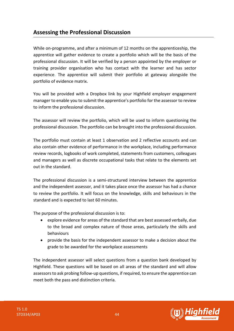### <span id="page-43-0"></span>**Assessing the Professional Discussion**

While on-programme, and after a minimum of 12 months on the apprenticeship, the apprentice will gather evidence to create a portfolio which will be the basis of the professional discussion. It will be verified by a person appointed by the employer or training provider organisation who has contact with the learner and has sector experience. The apprentice will submit their portfolio at gateway alongside the portfolio of evidence matrix.

You will be provided with a Dropbox link by your Highfield employer engagement manager to enable you to submit the apprentice's portfolio for the assessor to review to inform the professional discussion.

The assessor will review the portfolio, which will be used to inform questioning the professional discussion. The portfolio can be brought into the professional discussion.

The portfolio must contain at least 1 observation and 2 reflective accounts and can also contain other evidence of performance in the workplace, including performance review records, logbooks of work completed, statements from customers, colleagues and managers as well as discrete occupational tasks that relate to the elements set out in the standard.

The professional discussion is a semi-structured interview between the apprentice and the independent assessor, and it takes place once the assessor has had a chance to review the portfolio. It will focus on the knowledge, skills and behaviours in the standard and is expected to last 60 minutes.

The purpose of the professional discussion is to:

- explore evidence for areas of the standard that are best assessed verbally, due to the broad and complex nature of those areas, particularly the skills and behaviours
- provide the basis for the independent assessor to make a decision about the grade to be awarded for the workplace assessments

The independent assessor will select questions from a question bank developed by Highfield. These questions will be based on all areas of the standard and will allow assessors to ask probing follow-up questions, if required, to ensure the apprentice can meet both the pass and distinction criteria.

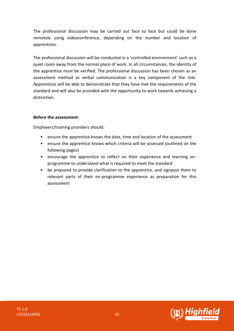The professional discussion may be carried out face to face but could be done remotely using videoconference, depending on the number and location of apprentices.

The professional discussion will be conducted in a 'controlled environment' such as a quiet room away from the normal place of work. In all circumstances, the identity of the apprentice must be verified. The professional discussion has been chosen as an assessment method as verbal communication is a key component of the role. Apprentices will be able to demonstrate that they have met the requirements of the standard and will also be provided with the opportunity to work towards achieving a distinction.

#### **Before the assessment:**

Employers/training providers should:

- ensure the apprentice knows the date, time and location of the assessment
- ensure the apprentice knows which criteria will be assessed (outlined on the following pages)
- encourage the apprentice to reflect on their experience and learning onprogramme to understand what is required to meet the standard
- be prepared to provide clarification to the apprentice, and signpost them to relevant parts of their on-programme experience as preparation for this assessment

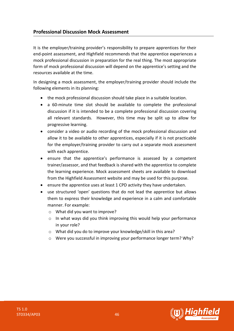#### **Professional Discussion Mock Assessment**

It is the employer/training provider's responsibility to prepare apprentices for their end-point assessment, and Highfield recommends that the apprentice experiences a mock professional discussion in preparation for the real thing. The most appropriate form of mock professional discussion will depend on the apprentice's setting and the resources available at the time.

In designing a mock assessment, the employer/training provider should include the following elements in its planning:

- the mock professional discussion should take place in a suitable location.
- a 60-minute time slot should be available to complete the professional discussion if it is intended to be a complete professional discussion covering all relevant standards. However, this time may be split up to allow for progressive learning.
- consider a video or audio recording of the mock professional discussion and allow it to be available to other apprentices, especially if it is not practicable for the employer/training provider to carry out a separate mock assessment with each apprentice.
- ensure that the apprentice's performance is assessed by a competent trainer/assessor, and that feedback is shared with the apprentice to complete the learning experience. Mock assessment sheets are available to download from the Highfield Assessment website and may be used for this purpose.
- ensure the apprentice uses at least 1 CPD activity they have undertaken.
- use structured 'open' questions that do not lead the apprentice but allows them to express their knowledge and experience in a calm and comfortable manner. For example:
	- o What did you want to improve?
	- $\circ$  In what ways did you think improving this would help your performance in your role?
	- o What did you do to improve your knowledge/skill in this area?
	- o Were you successful in improving your performance longer term? Why?

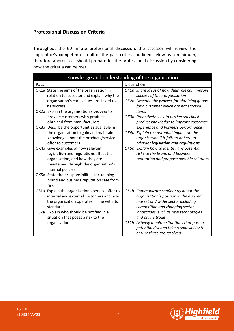#### **Professional Discussion Criteria**

Throughout the 60-minute professional discussion, the assessor will review the apprentice's competence in all of the pass criteria outlined below as a minimum, therefore apprentices should prepare for the professional discussion by considering how the criteria can be met.

| Knowledge and understanding of the organisation |                                                                                                                                                                                                                                                                          |             |                                                                                                                                                                                                                       |  |
|-------------------------------------------------|--------------------------------------------------------------------------------------------------------------------------------------------------------------------------------------------------------------------------------------------------------------------------|-------------|-----------------------------------------------------------------------------------------------------------------------------------------------------------------------------------------------------------------------|--|
| Pass                                            |                                                                                                                                                                                                                                                                          | Distinction |                                                                                                                                                                                                                       |  |
|                                                 | OK1a State the aims of the organisation in<br>relation to its sector and explain why the<br>organisation's core values are linked to<br>its success                                                                                                                      |             | OK1b Share ideas of how their role can improve<br>success of their organisation<br>OK2b Describe the process for obtaining goods<br>for a customer which are not stocked                                              |  |
|                                                 | OK2a Explain the organisation's process to<br>provide customers with products<br>obtained from manufacturers                                                                                                                                                             |             | items<br>OK3b Proactively seek to further specialist<br>product knowledge to improve customer                                                                                                                         |  |
|                                                 | OK3a Describe the opportunities available in<br>the organisation to gain and maintain<br>knowledge about the products/service<br>offer to customers                                                                                                                      |             | experience and business performance<br>OK4b Explain the potential impact on the<br>organisation if it fails to adhere to<br>relevant legislation and regulations                                                      |  |
|                                                 | OK4a Give examples of how relevant<br>legislation and regulations affect the<br>organisation, and how they are<br>maintained through the organisation's<br>internal policies<br>OK5a State their responsibilities for keeping<br>brand and business reputation safe from |             | OK5b Explain how to identify any potential<br>risks to the brand and business<br>reputation and propose possible solutions                                                                                            |  |
|                                                 | risk                                                                                                                                                                                                                                                                     |             |                                                                                                                                                                                                                       |  |
|                                                 | OS1a Explain the organisation's service offer to<br>internal and external customers and how<br>the organisation operates in line with its<br>standards<br>OS2a Explain who should be notified in a<br>situation that poses a risk to the                                 |             | OS1b Communicate confidently about the<br>organisation's position in the external<br>market and wider sector including<br>competition and changing sector<br>landscapes, such as new technologies<br>and online trade |  |
|                                                 | organisation                                                                                                                                                                                                                                                             |             | OS2b Actively monitor situations that pose a<br>potential risk and take responsibility to<br>ensure these are resolved                                                                                                |  |



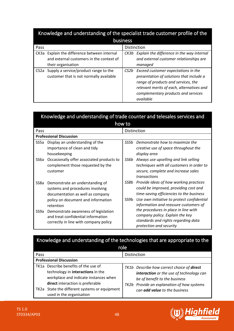|                   | Knowledge and understanding of the specialist trade customer profile of the                               |                   |                                                                                                                                                                                                                         |  |  |
|-------------------|-----------------------------------------------------------------------------------------------------------|-------------------|-------------------------------------------------------------------------------------------------------------------------------------------------------------------------------------------------------------------------|--|--|
|                   | business                                                                                                  |                   |                                                                                                                                                                                                                         |  |  |
| Pass              |                                                                                                           |                   | Distinction                                                                                                                                                                                                             |  |  |
| CK3a              | Explain the difference between internal<br>and external customers in the context of<br>their organisation |                   | CK3b Explain the difference in the way internal<br>and external customer relationships are<br>managed                                                                                                                   |  |  |
| CS <sub>2</sub> a | Supply a service/product range to the<br>customer that is not normally available                          | CS <sub>2</sub> b | Exceed customer expectations in the<br>presentation of solutions that include a<br>range of products and services, the<br>relevant merits of each, alternatives and<br>complementary products and services<br>available |  |  |

|                   | Knowledge and understanding of trade counter and telesales services and                                                                                    |                          |                                                                                                                                                                                                                    |  |  |  |
|-------------------|------------------------------------------------------------------------------------------------------------------------------------------------------------|--------------------------|--------------------------------------------------------------------------------------------------------------------------------------------------------------------------------------------------------------------|--|--|--|
|                   | how to                                                                                                                                                     |                          |                                                                                                                                                                                                                    |  |  |  |
| Pass              |                                                                                                                                                            |                          | Distinction                                                                                                                                                                                                        |  |  |  |
|                   | <b>Professional Discussion</b>                                                                                                                             |                          |                                                                                                                                                                                                                    |  |  |  |
| SS <sub>5</sub> a | Display an understanding of the<br>importance of clean and tidy<br>housekeeping                                                                            | SS5h                     | Demonstrate how to maximize the<br>creative use of space throughout the<br>display area                                                                                                                            |  |  |  |
| SS6a              | Occasionally offer associated products to<br>complement those requested by the<br>customer                                                                 | SS6b                     | Always use upselling and link selling<br>techniques with all customers in order to<br>secure, complete and increase sales<br>transactions                                                                          |  |  |  |
| SS8a              | Demonstrate an understanding of<br>systems and procedures involving<br>documentation as well as company<br>policy on document and information<br>retention | SS8b<br>SS9 <sub>b</sub> | Provide ideas of how working practices<br>could be improved, providing cost and<br>time-saving efficiencies to the business<br>Use own initiative to protect confidential<br>information and reassure customers of |  |  |  |
| SS9a              | Demonstrate awareness of legislation<br>and treat confidential information<br>correctly in line with company policy                                        |                          | the procedures in place in line with<br>company policy. Explain the key<br>standards and rights regarding data<br>protection and security                                                                          |  |  |  |

| Knowledge and understanding of the technologies that are appropriate to the                                                                                                                                                         |                                                                                                                                                                                                               |  |  |
|-------------------------------------------------------------------------------------------------------------------------------------------------------------------------------------------------------------------------------------|---------------------------------------------------------------------------------------------------------------------------------------------------------------------------------------------------------------|--|--|
|                                                                                                                                                                                                                                     | role                                                                                                                                                                                                          |  |  |
| Pass                                                                                                                                                                                                                                | Distinction                                                                                                                                                                                                   |  |  |
| <b>Professional Discussion</b>                                                                                                                                                                                                      |                                                                                                                                                                                                               |  |  |
| TK1a Describe benefits of the use of<br>technology in interactions in the<br>workplace and indicate instances when<br>direct interaction is preferable<br>TK2a State the different systems or equipment<br>used in the organisation | TK1b Describe how correct choice of direct<br>interaction or the use of technology can<br>be of benefit to the business<br>TK2b Provide an explanation of how systems<br>can <b>add value</b> to the business |  |  |

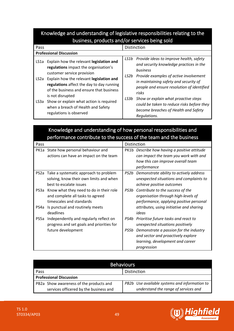### Knowledge and understanding of legislative responsibilities relating to the business, products and/or services being sold

| Pass                                                                                                                                                                                                                                               | <b>Distinction</b>                                                                                                                                                                                        |
|----------------------------------------------------------------------------------------------------------------------------------------------------------------------------------------------------------------------------------------------------|-----------------------------------------------------------------------------------------------------------------------------------------------------------------------------------------------------------|
| <b>Professional Discussion</b>                                                                                                                                                                                                                     |                                                                                                                                                                                                           |
| Explain how the relevant legislation and<br>LS <sub>1</sub> a<br>regulations impact the organisation's<br>customer service provision<br>Explain how the relevant legislation and<br>LS <sub>2</sub> a<br>regulations affect the day to day running | LS1b Provide ideas to improve health, safety<br>and security knowledge practices in the<br>business<br>Provide examples of active involvement<br>LS2b<br>in maintaining safety and security of            |
| of the business and ensure that business<br>is not disrupted<br>Show or explain what action is required<br>LS3a<br>when a breach of Health and Safety<br>regulations is observed                                                                   | people and ensure resolution of identified<br>risks<br>Show or explain what proactive steps<br>LS3b<br>could be taken to reduce risks before they<br>become breaches of Health and Safety<br>Regulations. |

## Knowledge and understanding of how personal responsibilities and performance contribute to the success of the team and the business

| Pass |                                            |      | Distinction                                  |
|------|--------------------------------------------|------|----------------------------------------------|
|      | PK1a State how personal behaviour and      |      | PK1b Describe how having a positive attitude |
|      | actions can have an impact on the team     |      | can impact the team you work with and        |
|      |                                            |      | how this can improve overall team            |
|      |                                            |      | performance                                  |
|      | PS2a Take a systematic approach to problem |      | PS2b Demonstrate ability to actively address |
|      | solving, know their own limits and when    |      | unexpected situations and complaints to      |
|      | best to escalate issues                    |      | achieve positive outcomes                    |
| PS3a | Know what they need to do in their role    |      | PS3b Contribute to the success of the        |
|      | and complete all tasks to agreed           |      | organisation through high-levels of          |
|      | timescales and standards                   |      | performance, applying positive personal      |
| PS4a | Is punctual and routinely meets            |      | attributes, using initiative and sharing     |
|      | deadlines                                  |      | ideas                                        |
| PS5a | Independently and regularly reflect on     | PS4b | Prioritise future tasks and react to         |
|      | progress and set goals and priorities for  |      | unexpected situations positively             |
|      | future development                         | PS5b | Demonstrate a passion for the industry       |
|      |                                            |      | and sector and proactively explore           |
|      |                                            |      | learning, development and career             |
|      |                                            |      | progression                                  |

| <b>Behaviours</b>                       |                                               |  |  |
|-----------------------------------------|-----------------------------------------------|--|--|
| Distinction<br>Pass                     |                                               |  |  |
| <b>Professional Discussion</b>          |                                               |  |  |
| PB2a Show awareness of the products and | PB2b Use available systems and information to |  |  |
| services officered by the business and  | understand the range of services and          |  |  |